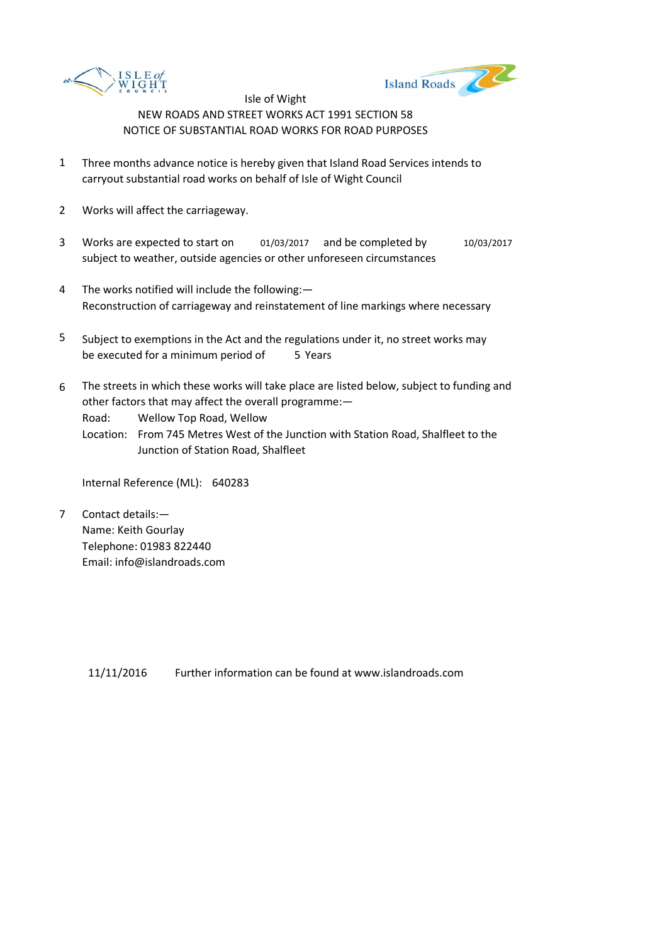



- 1 Three months advance notice is hereby given that Island Road Services intends to carryout substantial road works on behalf of Isle of Wight Council
- 2 Works will affect the carriageway.
- 3 Works are expected to start on 01/03/2017 and be completed by 10/03/2017 subject to weather, outside agencies or other unforeseen circumstances
- 4 The works notified will include the following:— Reconstruction of carriageway and reinstatement of line markings where necessary
- 5 be executed for a minimum period of 5 Years Subject to exemptions in the Act and the regulations under it, no street works may
- 6 The streets in which these works will take place are listed below, subject to funding and other factors that may affect the overall programme:—

Road: Wellow Top Road, Wellow

Location: From 745 Metres West of the Junction with Station Road, Shalfleet to the Junction of Station Road, Shalfleet

Internal Reference (ML): 640283

7 Contact details:— Name: Keith Gourlay Telephone: 01983 822440 Email: info@islandroads.com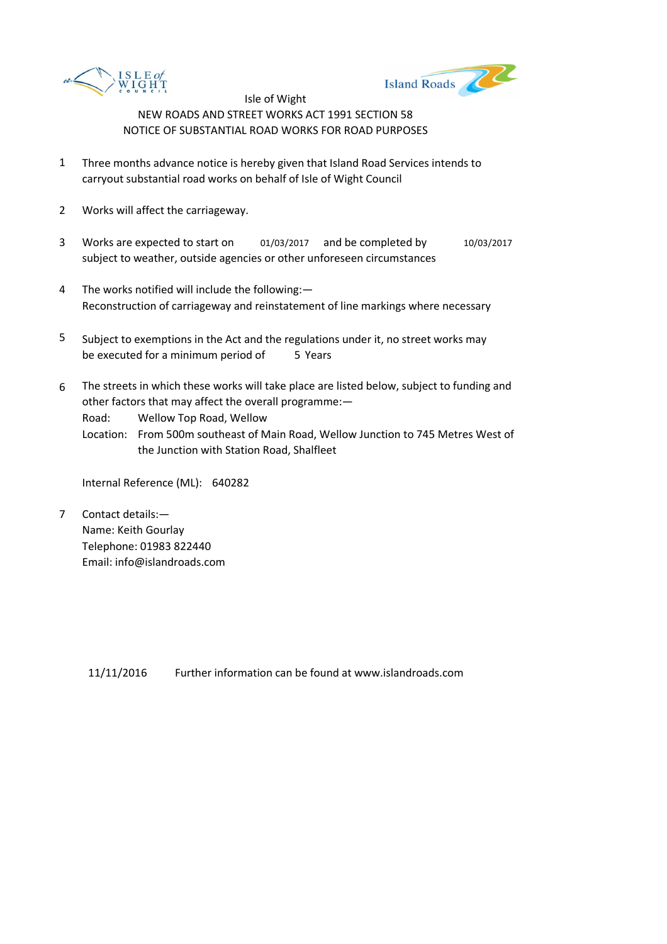



- 1 Three months advance notice is hereby given that Island Road Services intends to carryout substantial road works on behalf of Isle of Wight Council
- 2 Works will affect the carriageway.
- 3 Works are expected to start on 01/03/2017 and be completed by 10/03/2017 subject to weather, outside agencies or other unforeseen circumstances
- 4 The works notified will include the following:— Reconstruction of carriageway and reinstatement of line markings where necessary
- 5 be executed for a minimum period of 5 Years Subject to exemptions in the Act and the regulations under it, no street works may
- 6 The streets in which these works will take place are listed below, subject to funding and other factors that may affect the overall programme:—

Road: Wellow Top Road, Wellow

Location: From 500m southeast of Main Road, Wellow Junction to 745 Metres West of the Junction with Station Road, Shalfleet

Internal Reference (ML): 640282

7 Contact details:— Name: Keith Gourlay Telephone: 01983 822440 Email: info@islandroads.com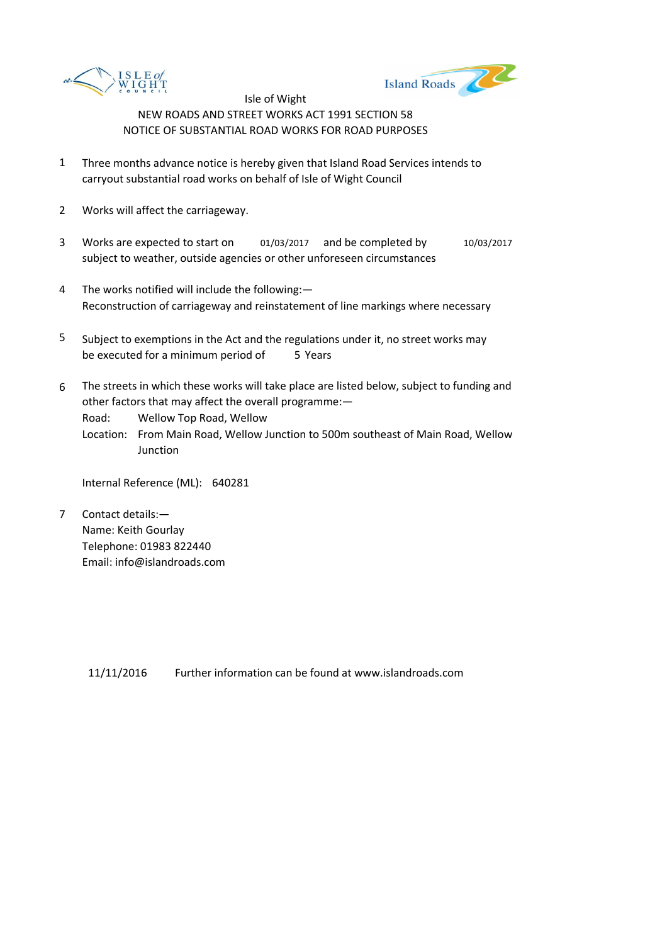



- 1 Three months advance notice is hereby given that Island Road Services intends to carryout substantial road works on behalf of Isle of Wight Council
- 2 Works will affect the carriageway.
- 3 Works are expected to start on 01/03/2017 and be completed by 10/03/2017 subject to weather, outside agencies or other unforeseen circumstances
- 4 The works notified will include the following:— Reconstruction of carriageway and reinstatement of line markings where necessary
- 5 be executed for a minimum period of 5 Years Subject to exemptions in the Act and the regulations under it, no street works may
- 6 The streets in which these works will take place are listed below, subject to funding and other factors that may affect the overall programme:—

Road: Wellow Top Road, Wellow

Location: From Main Road, Wellow Junction to 500m southeast of Main Road, Wellow **Junction** 

Internal Reference (ML): 640281

7 Contact details:— Name: Keith Gourlay Telephone: 01983 822440 Email: info@islandroads.com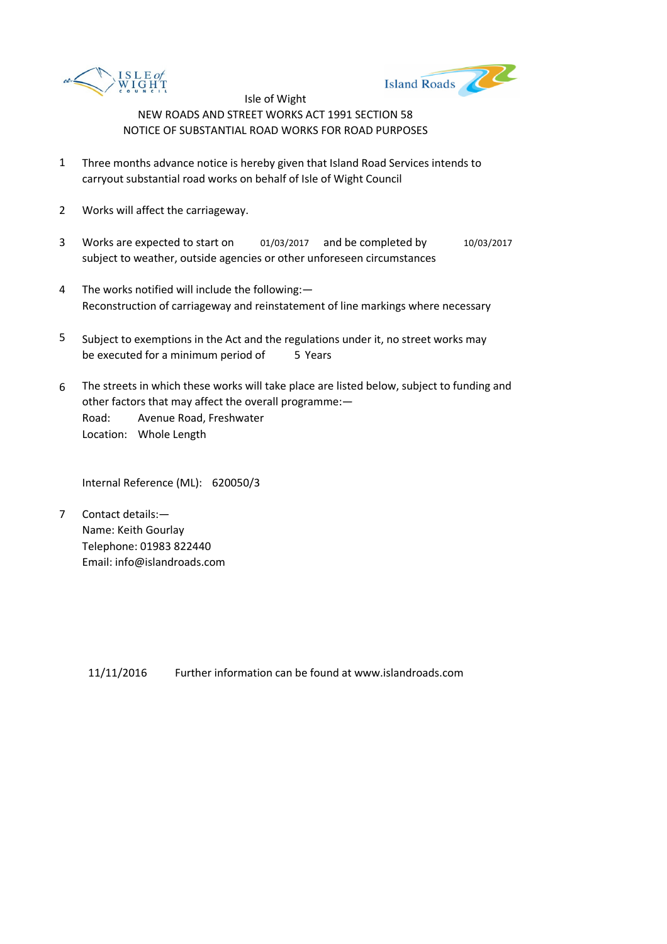



- 1 Three months advance notice is hereby given that Island Road Services intends to carryout substantial road works on behalf of Isle of Wight Council
- 2 Works will affect the carriageway.
- 3 Works are expected to start on 01/03/2017 and be completed by 10/03/2017 subject to weather, outside agencies or other unforeseen circumstances
- 4 The works notified will include the following:— Reconstruction of carriageway and reinstatement of line markings where necessary
- 5 be executed for a minimum period of 5 Years Subject to exemptions in the Act and the regulations under it, no street works may
- 6 Road: Avenue Road, Freshwater Location: Whole Length The streets in which these works will take place are listed below, subject to funding and other factors that may affect the overall programme:—

Internal Reference (ML): 620050/3

7 Contact details:— Name: Keith Gourlay Telephone: 01983 822440 Email: info@islandroads.com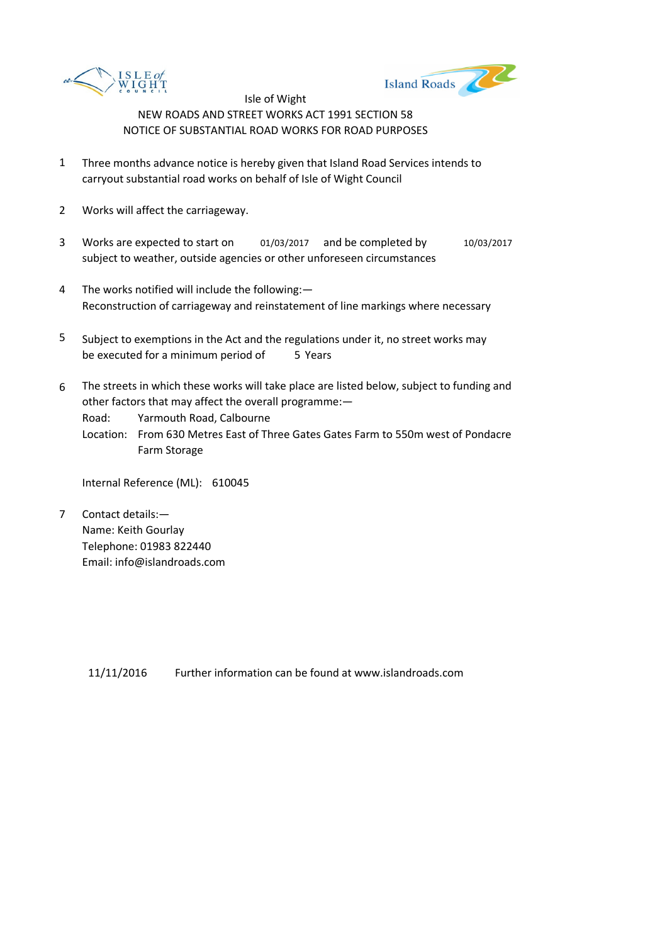



- 1 Three months advance notice is hereby given that Island Road Services intends to carryout substantial road works on behalf of Isle of Wight Council
- 2 Works will affect the carriageway.
- 3 Works are expected to start on 01/03/2017 and be completed by 10/03/2017 subject to weather, outside agencies or other unforeseen circumstances
- 4 The works notified will include the following:— Reconstruction of carriageway and reinstatement of line markings where necessary
- 5 be executed for a minimum period of 5 Years Subject to exemptions in the Act and the regulations under it, no street works may
- 6 The streets in which these works will take place are listed below, subject to funding and other factors that may affect the overall programme:—

Road: Yarmouth Road, Calbourne

Location: From 630 Metres East of Three Gates Gates Farm to 550m west of Pondacre Farm Storage

Internal Reference (ML): 610045

7 Contact details:— Name: Keith Gourlay Telephone: 01983 822440 Email: info@islandroads.com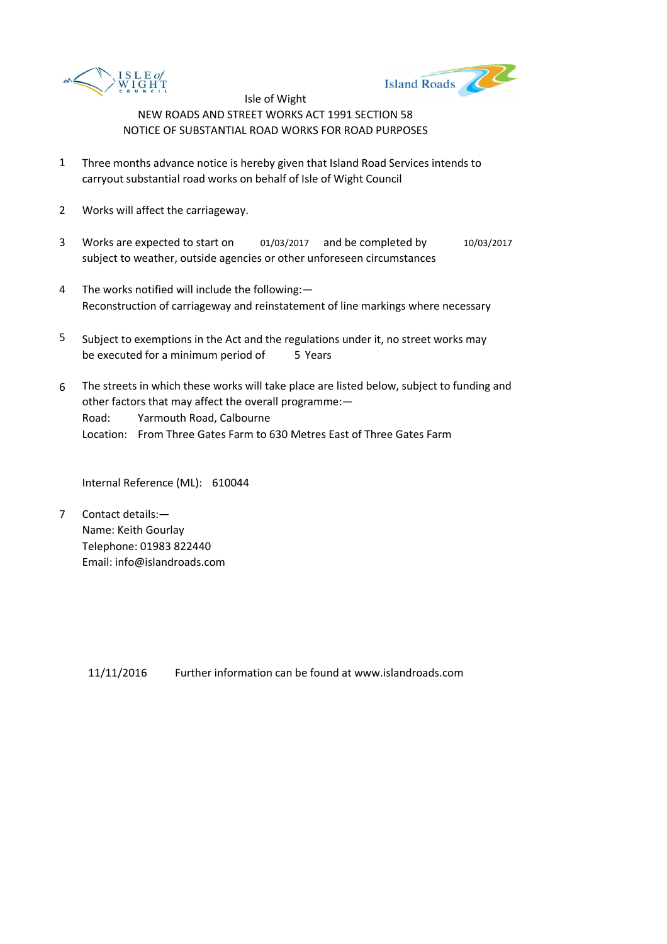



- 1 Three months advance notice is hereby given that Island Road Services intends to carryout substantial road works on behalf of Isle of Wight Council
- 2 Works will affect the carriageway.
- 3 Works are expected to start on 01/03/2017 and be completed by 10/03/2017 subject to weather, outside agencies or other unforeseen circumstances
- 4 The works notified will include the following:— Reconstruction of carriageway and reinstatement of line markings where necessary
- 5 be executed for a minimum period of 5 Years Subject to exemptions in the Act and the regulations under it, no street works may
- 6 Road: Yarmouth Road, Calbourne Location: From Three Gates Farm to 630 Metres East of Three Gates Farm The streets in which these works will take place are listed below, subject to funding and other factors that may affect the overall programme:—

Internal Reference (ML): 610044

7 Contact details:— Name: Keith Gourlay Telephone: 01983 822440 Email: info@islandroads.com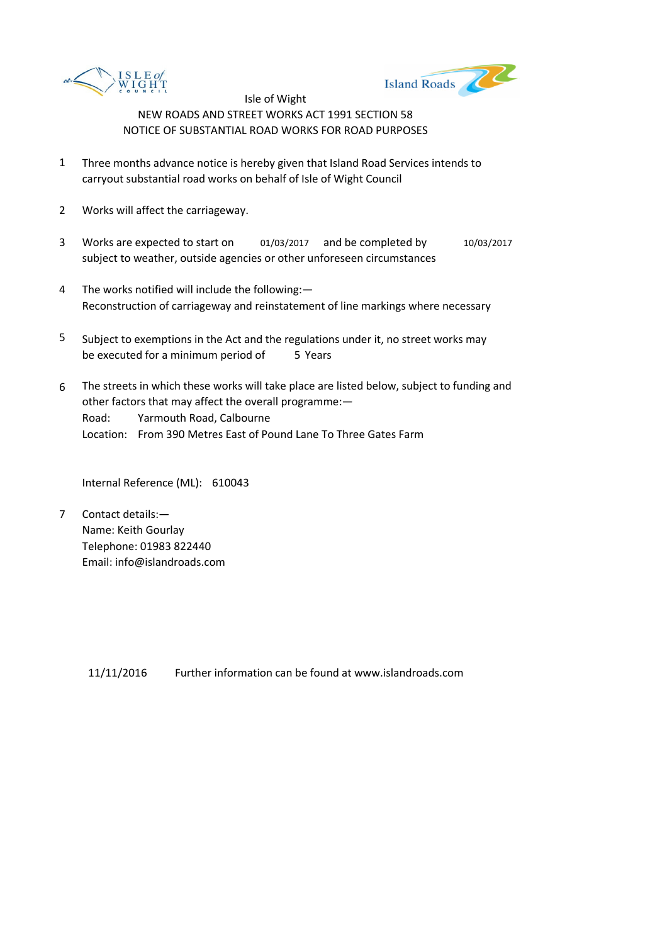



- 1 Three months advance notice is hereby given that Island Road Services intends to carryout substantial road works on behalf of Isle of Wight Council
- 2 Works will affect the carriageway.
- 3 Works are expected to start on 01/03/2017 and be completed by 10/03/2017 subject to weather, outside agencies or other unforeseen circumstances
- 4 The works notified will include the following:— Reconstruction of carriageway and reinstatement of line markings where necessary
- 5 be executed for a minimum period of 5 Years Subject to exemptions in the Act and the regulations under it, no street works may
- 6 Road: Yarmouth Road, Calbourne Location: From 390 Metres East of Pound Lane To Three Gates Farm The streets in which these works will take place are listed below, subject to funding and other factors that may affect the overall programme:—

Internal Reference (ML): 610043

7 Contact details:— Name: Keith Gourlay Telephone: 01983 822440 Email: info@islandroads.com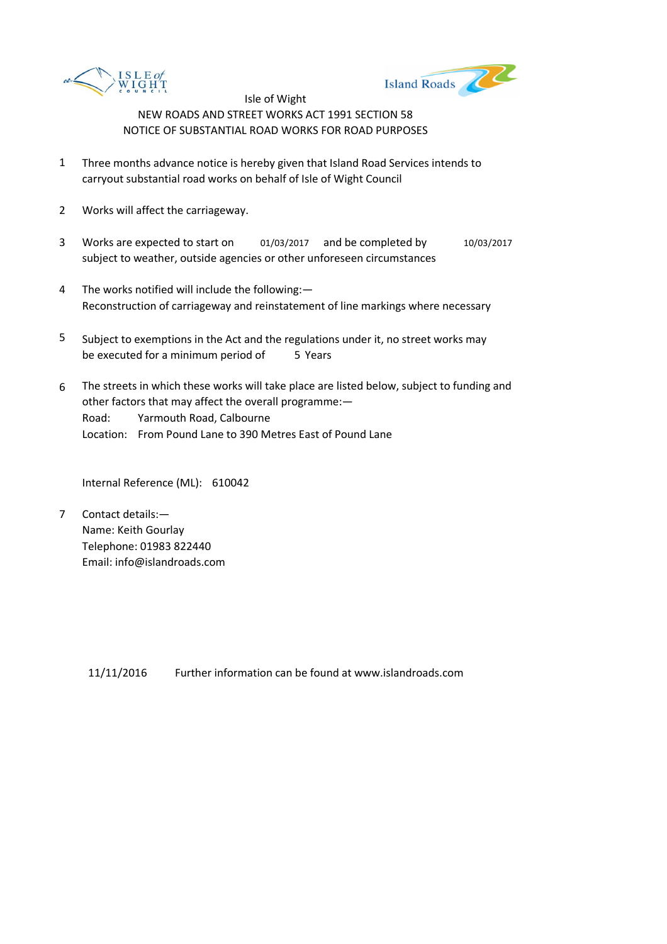



- 1 Three months advance notice is hereby given that Island Road Services intends to carryout substantial road works on behalf of Isle of Wight Council
- 2 Works will affect the carriageway.
- 3 Works are expected to start on 01/03/2017 and be completed by 10/03/2017 subject to weather, outside agencies or other unforeseen circumstances
- 4 The works notified will include the following:— Reconstruction of carriageway and reinstatement of line markings where necessary
- 5 be executed for a minimum period of 5 Years Subject to exemptions in the Act and the regulations under it, no street works may
- 6 Road: Yarmouth Road, Calbourne Location: From Pound Lane to 390 Metres East of Pound Lane The streets in which these works will take place are listed below, subject to funding and other factors that may affect the overall programme:—

Internal Reference (ML): 610042

7 Contact details:— Name: Keith Gourlay Telephone: 01983 822440 Email: info@islandroads.com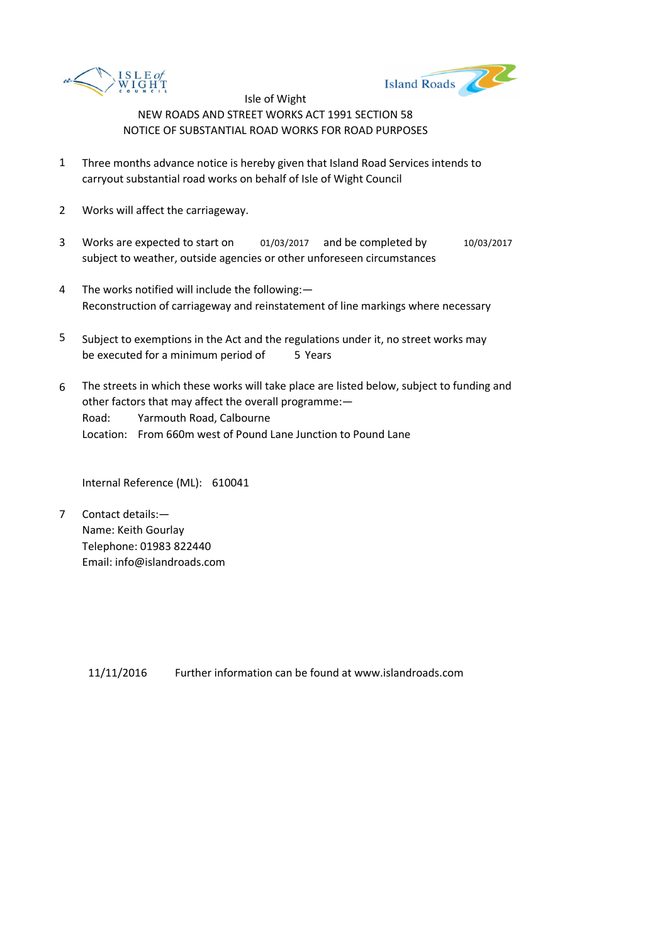



- 1 Three months advance notice is hereby given that Island Road Services intends to carryout substantial road works on behalf of Isle of Wight Council
- 2 Works will affect the carriageway.
- 3 Works are expected to start on 01/03/2017 and be completed by 10/03/2017 subject to weather, outside agencies or other unforeseen circumstances
- 4 The works notified will include the following:— Reconstruction of carriageway and reinstatement of line markings where necessary
- 5 be executed for a minimum period of 5 Years Subject to exemptions in the Act and the regulations under it, no street works may
- 6 Road: Yarmouth Road, Calbourne Location: From 660m west of Pound Lane Junction to Pound Lane The streets in which these works will take place are listed below, subject to funding and other factors that may affect the overall programme:—

Internal Reference (ML): 610041

7 Contact details:— Name: Keith Gourlay Telephone: 01983 822440 Email: info@islandroads.com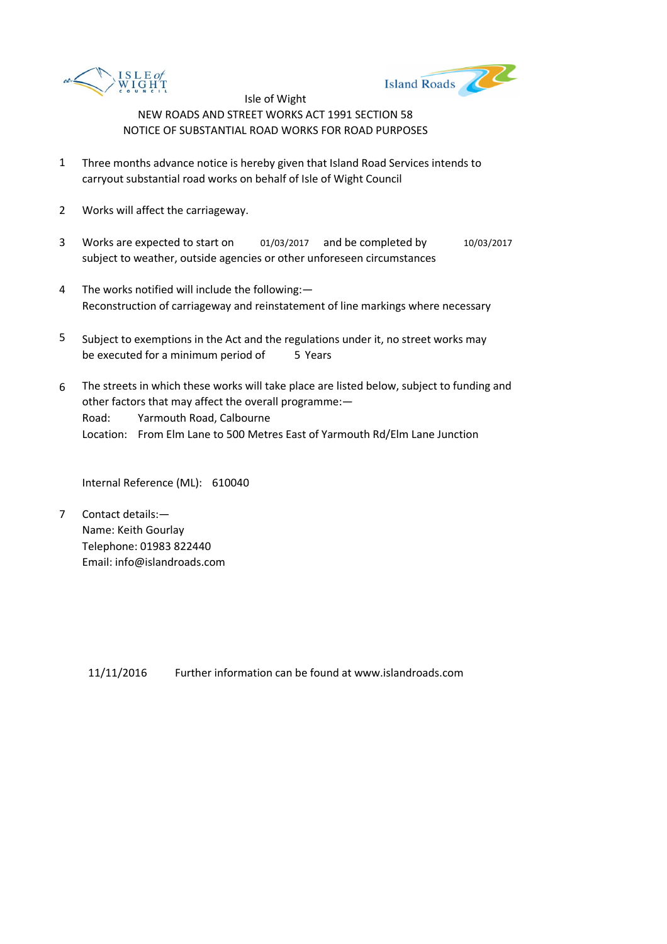



- 1 Three months advance notice is hereby given that Island Road Services intends to carryout substantial road works on behalf of Isle of Wight Council
- 2 Works will affect the carriageway.
- 3 Works are expected to start on 01/03/2017 and be completed by 10/03/2017 subject to weather, outside agencies or other unforeseen circumstances
- 4 The works notified will include the following:— Reconstruction of carriageway and reinstatement of line markings where necessary
- 5 be executed for a minimum period of 5 Years Subject to exemptions in the Act and the regulations under it, no street works may
- 6 Road: Yarmouth Road, Calbourne Location: From Elm Lane to 500 Metres East of Yarmouth Rd/Elm Lane Junction The streets in which these works will take place are listed below, subject to funding and other factors that may affect the overall programme:—

Internal Reference (ML): 610040

7 Contact details:— Name: Keith Gourlay Telephone: 01983 822440 Email: info@islandroads.com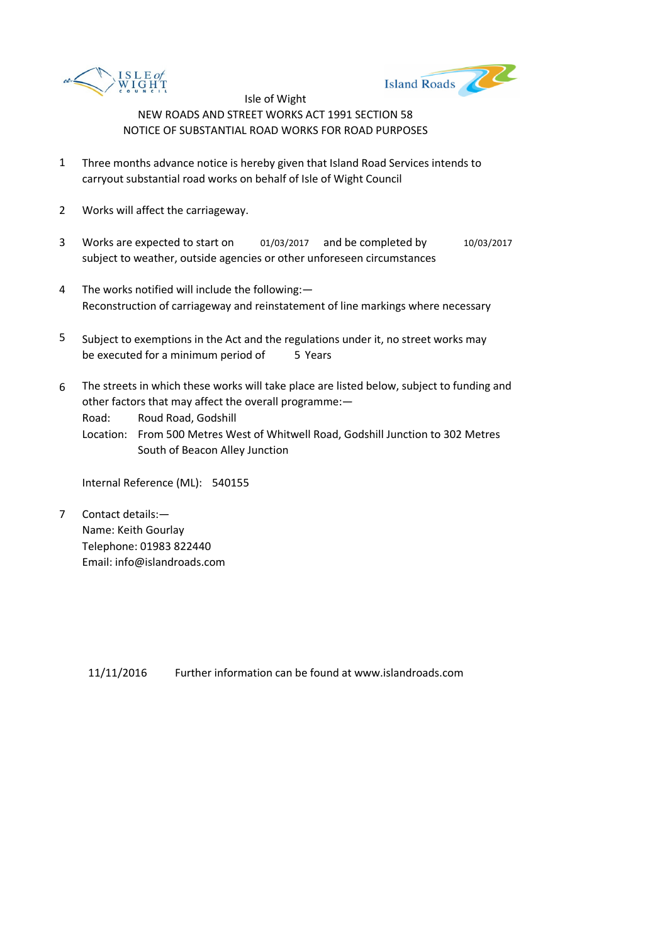



- 1 Three months advance notice is hereby given that Island Road Services intends to carryout substantial road works on behalf of Isle of Wight Council
- 2 Works will affect the carriageway.
- 3 Works are expected to start on 01/03/2017 and be completed by 10/03/2017 subject to weather, outside agencies or other unforeseen circumstances
- 4 The works notified will include the following:— Reconstruction of carriageway and reinstatement of line markings where necessary
- 5 be executed for a minimum period of 5 Years Subject to exemptions in the Act and the regulations under it, no street works may
- 6 The streets in which these works will take place are listed below, subject to funding and other factors that may affect the overall programme:—

Road: Roud Road, Godshill

Location: From 500 Metres West of Whitwell Road, Godshill Junction to 302 Metres South of Beacon Alley Junction

Internal Reference (ML): 540155

7 Contact details:— Name: Keith Gourlay Telephone: 01983 822440 Email: info@islandroads.com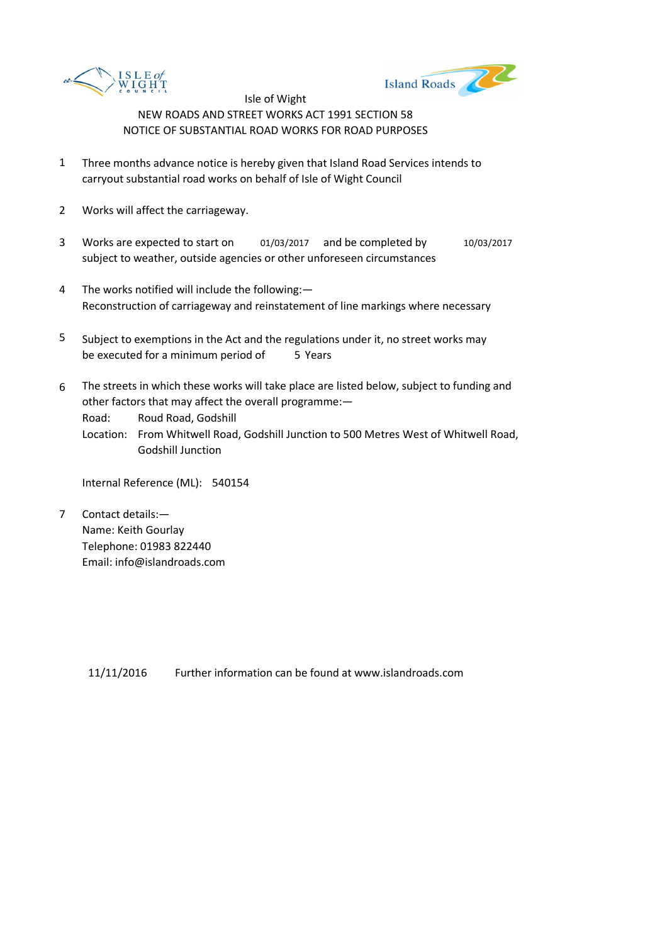



- 1 Three months advance notice is hereby given that Island Road Services intends to carryout substantial road works on behalf of Isle of Wight Council
- 2 Works will affect the carriageway.
- 3 Works are expected to start on 01/03/2017 and be completed by 10/03/2017 subject to weather, outside agencies or other unforeseen circumstances
- 4 The works notified will include the following:— Reconstruction of carriageway and reinstatement of line markings where necessary
- 5 be executed for a minimum period of 5 Years Subject to exemptions in the Act and the regulations under it, no street works may
- 6 The streets in which these works will take place are listed below, subject to funding and other factors that may affect the overall programme:—

Road: Roud Road, Godshill

Location: From Whitwell Road, Godshill Junction to 500 Metres West of Whitwell Road, Godshill Junction

Internal Reference (ML): 540154

7 Contact details:— Name: Keith Gourlay Telephone: 01983 822440 Email: info@islandroads.com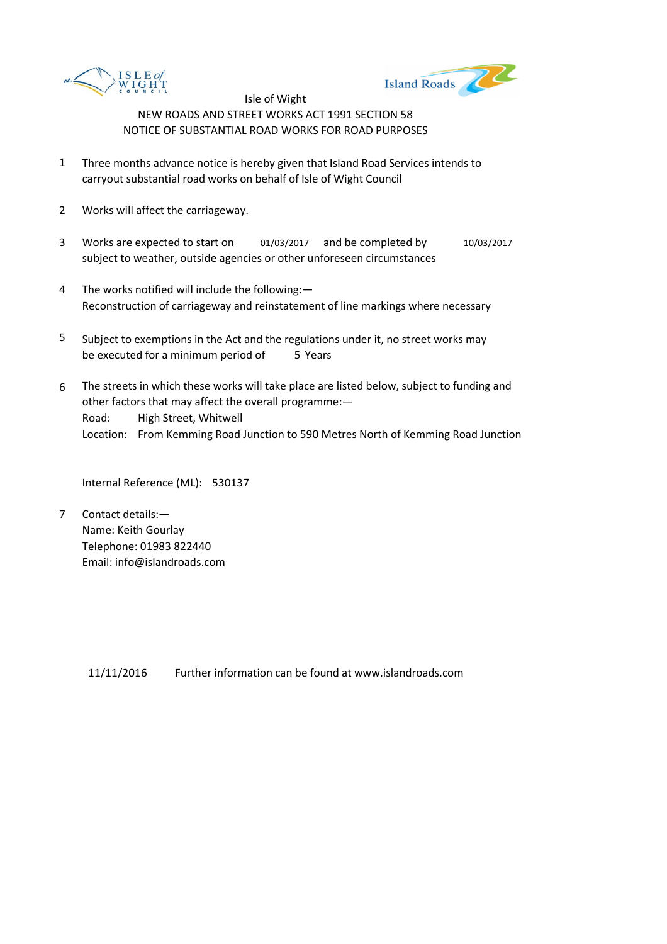



- 1 Three months advance notice is hereby given that Island Road Services intends to carryout substantial road works on behalf of Isle of Wight Council
- 2 Works will affect the carriageway.
- 3 Works are expected to start on 01/03/2017 and be completed by 10/03/2017 subject to weather, outside agencies or other unforeseen circumstances
- 4 The works notified will include the following:— Reconstruction of carriageway and reinstatement of line markings where necessary
- 5 be executed for a minimum period of 5 Years Subject to exemptions in the Act and the regulations under it, no street works may
- 6 Road: High Street, Whitwell Location: From Kemming Road Junction to 590 Metres North of Kemming Road Junction The streets in which these works will take place are listed below, subject to funding and other factors that may affect the overall programme:—

Internal Reference (ML): 530137

7 Contact details:— Name: Keith Gourlay Telephone: 01983 822440 Email: info@islandroads.com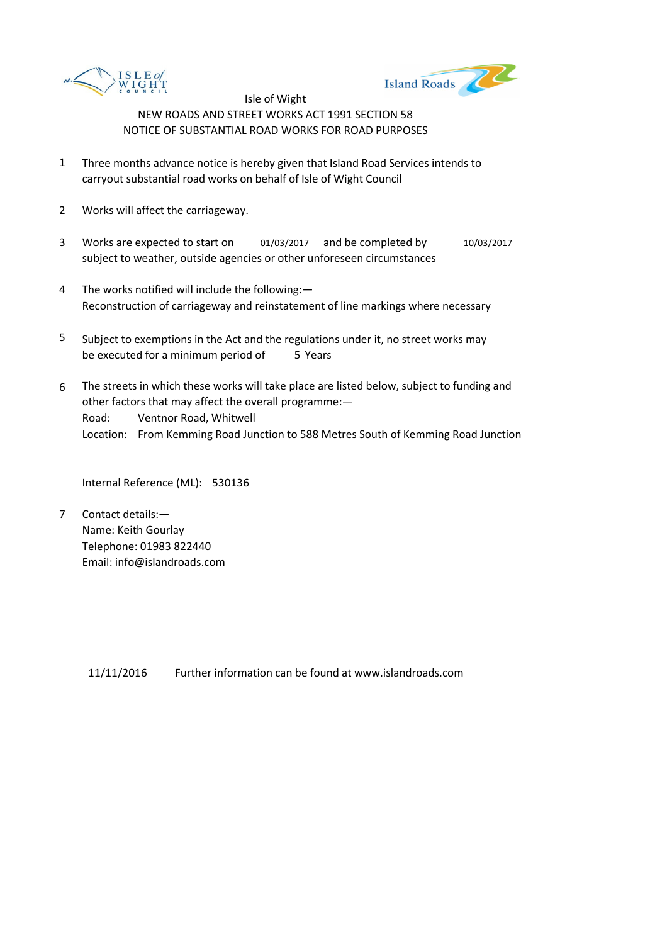



- 1 Three months advance notice is hereby given that Island Road Services intends to carryout substantial road works on behalf of Isle of Wight Council
- 2 Works will affect the carriageway.
- 3 Works are expected to start on 01/03/2017 and be completed by 10/03/2017 subject to weather, outside agencies or other unforeseen circumstances
- 4 The works notified will include the following:— Reconstruction of carriageway and reinstatement of line markings where necessary
- 5 be executed for a minimum period of 5 Years Subject to exemptions in the Act and the regulations under it, no street works may
- 6 Road: Ventnor Road, Whitwell Location: From Kemming Road Junction to 588 Metres South of Kemming Road Junction The streets in which these works will take place are listed below, subject to funding and other factors that may affect the overall programme:—

Internal Reference (ML): 530136

7 Contact details:— Name: Keith Gourlay Telephone: 01983 822440 Email: info@islandroads.com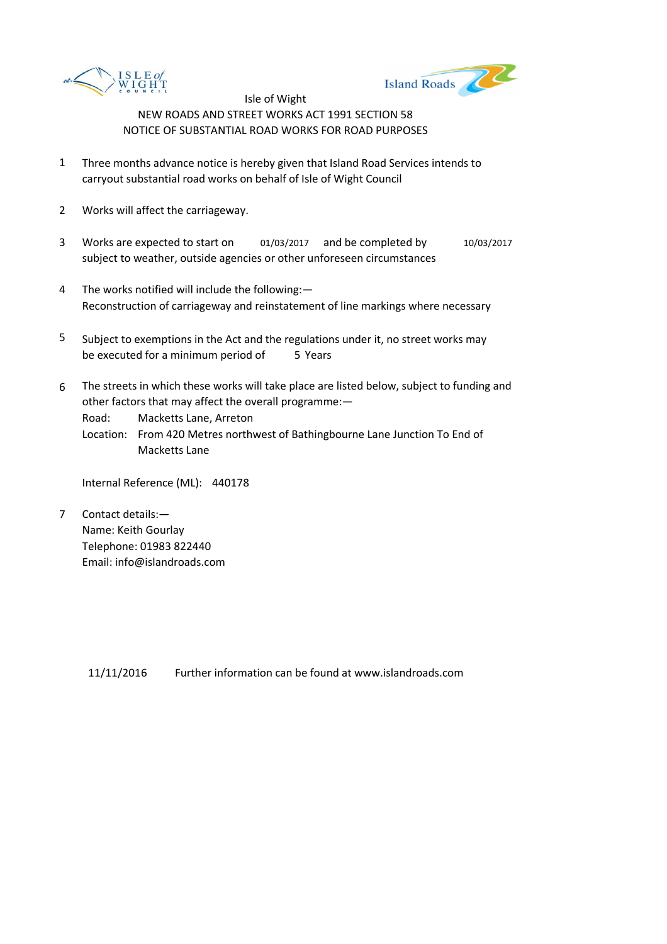



- 1 Three months advance notice is hereby given that Island Road Services intends to carryout substantial road works on behalf of Isle of Wight Council
- 2 Works will affect the carriageway.
- 3 Works are expected to start on 01/03/2017 and be completed by 10/03/2017 subject to weather, outside agencies or other unforeseen circumstances
- 4 The works notified will include the following:— Reconstruction of carriageway and reinstatement of line markings where necessary
- 5 be executed for a minimum period of 5 Years Subject to exemptions in the Act and the regulations under it, no street works may
- 6 The streets in which these works will take place are listed below, subject to funding and other factors that may affect the overall programme:—

Road: Macketts Lane, Arreton

Location: From 420 Metres northwest of Bathingbourne Lane Junction To End of Macketts Lane

Internal Reference (ML): 440178

7 Contact details:— Name: Keith Gourlay Telephone: 01983 822440 Email: info@islandroads.com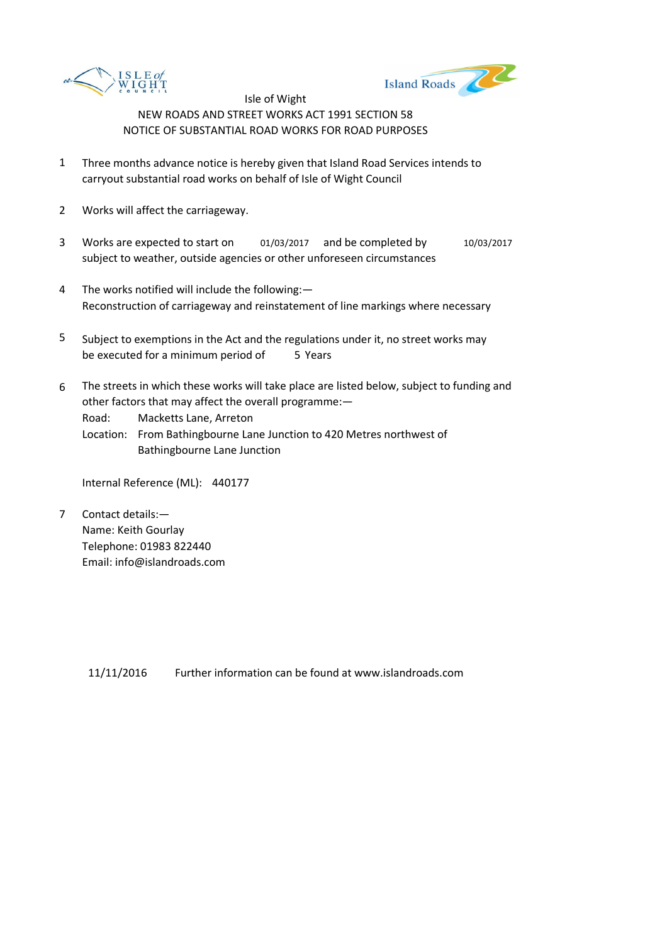



- 1 Three months advance notice is hereby given that Island Road Services intends to carryout substantial road works on behalf of Isle of Wight Council
- 2 Works will affect the carriageway.
- 3 Works are expected to start on 01/03/2017 and be completed by 10/03/2017 subject to weather, outside agencies or other unforeseen circumstances
- 4 The works notified will include the following:— Reconstruction of carriageway and reinstatement of line markings where necessary
- 5 be executed for a minimum period of 5 Years Subject to exemptions in the Act and the regulations under it, no street works may
- 6 The streets in which these works will take place are listed below, subject to funding and other factors that may affect the overall programme:—

Road: Macketts Lane, Arreton

Location: From Bathingbourne Lane Junction to 420 Metres northwest of Bathingbourne Lane Junction

Internal Reference (ML): 440177

7 Contact details:— Name: Keith Gourlay Telephone: 01983 822440 Email: info@islandroads.com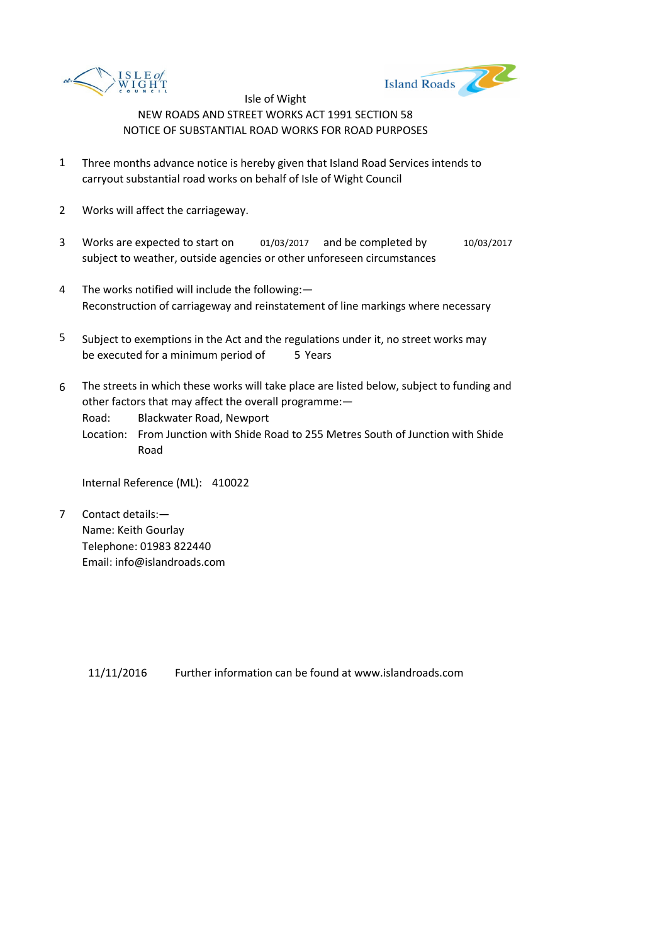



- 1 Three months advance notice is hereby given that Island Road Services intends to carryout substantial road works on behalf of Isle of Wight Council
- 2 Works will affect the carriageway.
- 3 Works are expected to start on 01/03/2017 and be completed by 10/03/2017 subject to weather, outside agencies or other unforeseen circumstances
- 4 The works notified will include the following:— Reconstruction of carriageway and reinstatement of line markings where necessary
- 5 be executed for a minimum period of 5 Years Subject to exemptions in the Act and the regulations under it, no street works may
- 6 The streets in which these works will take place are listed below, subject to funding and other factors that may affect the overall programme:—

Road: Blackwater Road, Newport

Location: From Junction with Shide Road to 255 Metres South of Junction with Shide Road

Internal Reference (ML): 410022

7 Contact details:— Name: Keith Gourlay Telephone: 01983 822440 Email: info@islandroads.com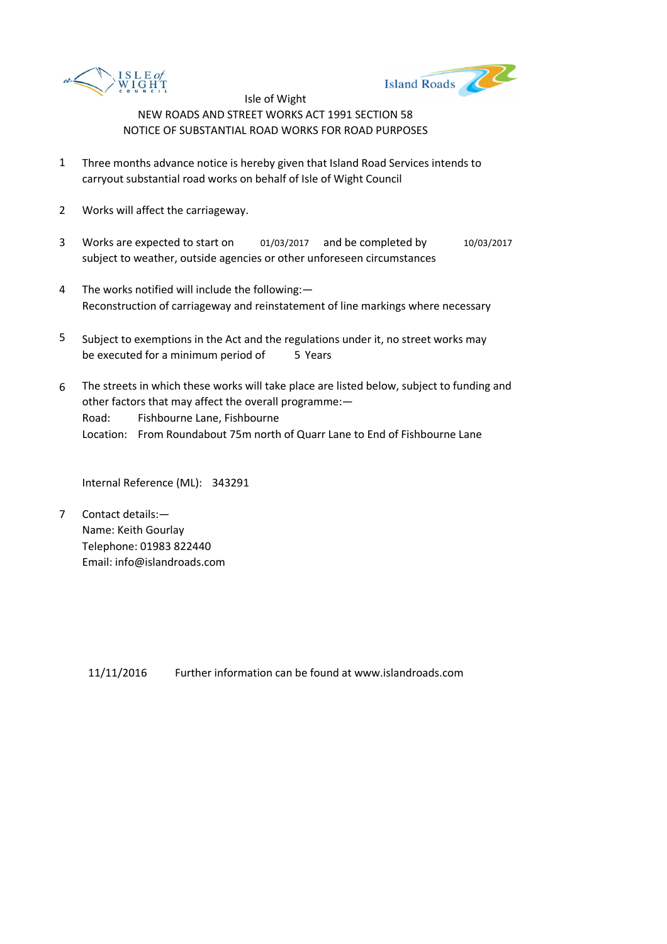



- 1 Three months advance notice is hereby given that Island Road Services intends to carryout substantial road works on behalf of Isle of Wight Council
- 2 Works will affect the carriageway.
- 3 Works are expected to start on 01/03/2017 and be completed by 10/03/2017 subject to weather, outside agencies or other unforeseen circumstances
- 4 The works notified will include the following:— Reconstruction of carriageway and reinstatement of line markings where necessary
- 5 be executed for a minimum period of 5 Years Subject to exemptions in the Act and the regulations under it, no street works may
- 6 Road: Fishbourne Lane, Fishbourne Location: From Roundabout 75m north of Quarr Lane to End of Fishbourne Lane The streets in which these works will take place are listed below, subject to funding and other factors that may affect the overall programme:—

Internal Reference (ML): 343291

7 Contact details:— Name: Keith Gourlay Telephone: 01983 822440 Email: info@islandroads.com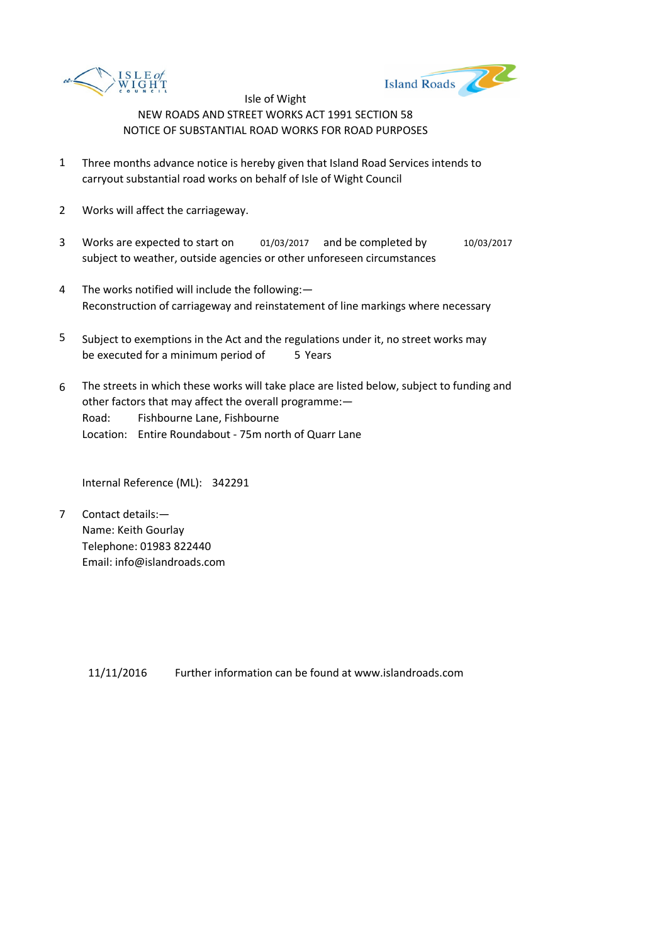



- 1 Three months advance notice is hereby given that Island Road Services intends to carryout substantial road works on behalf of Isle of Wight Council
- 2 Works will affect the carriageway.
- 3 Works are expected to start on 01/03/2017 and be completed by 10/03/2017 subject to weather, outside agencies or other unforeseen circumstances
- 4 The works notified will include the following:— Reconstruction of carriageway and reinstatement of line markings where necessary
- 5 be executed for a minimum period of 5 Years Subject to exemptions in the Act and the regulations under it, no street works may
- 6 Road: Fishbourne Lane, Fishbourne Location: Entire Roundabout - 75m north of Quarr Lane The streets in which these works will take place are listed below, subject to funding and other factors that may affect the overall programme:—

Internal Reference (ML): 342291

7 Contact details:— Name: Keith Gourlay Telephone: 01983 822440 Email: info@islandroads.com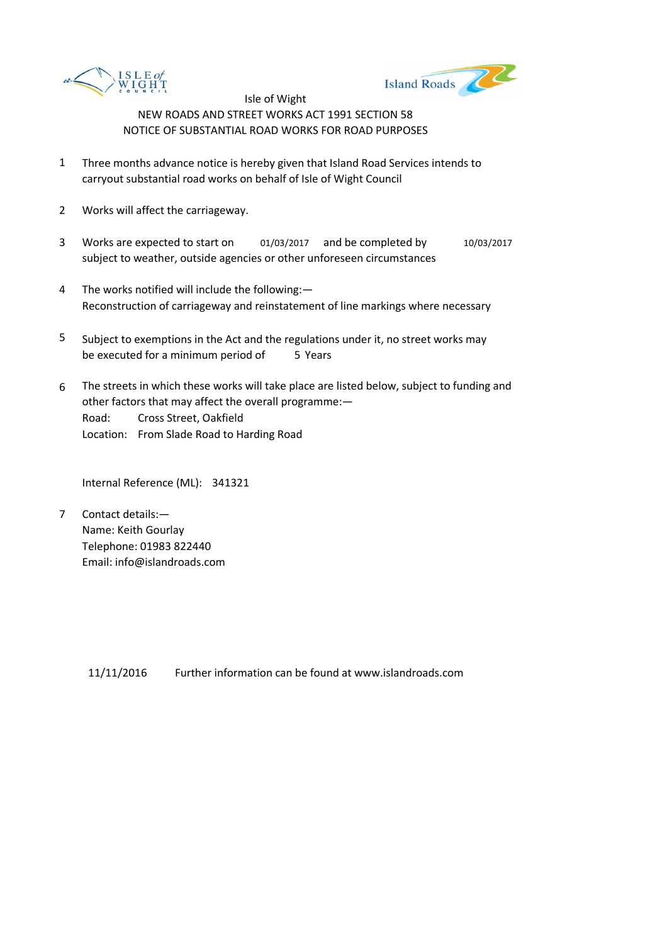



- 1 Three months advance notice is hereby given that Island Road Services intends to carryout substantial road works on behalf of Isle of Wight Council
- 2 Works will affect the carriageway.
- 3 Works are expected to start on 01/03/2017 and be completed by 10/03/2017 subject to weather, outside agencies or other unforeseen circumstances
- 4 The works notified will include the following:— Reconstruction of carriageway and reinstatement of line markings where necessary
- 5 be executed for a minimum period of 5 Years Subject to exemptions in the Act and the regulations under it, no street works may
- 6 Road: Cross Street, Oakfield Location: From Slade Road to Harding Road The streets in which these works will take place are listed below, subject to funding and other factors that may affect the overall programme:—

Internal Reference (ML): 341321

7 Contact details:— Name: Keith Gourlay Telephone: 01983 822440 Email: info@islandroads.com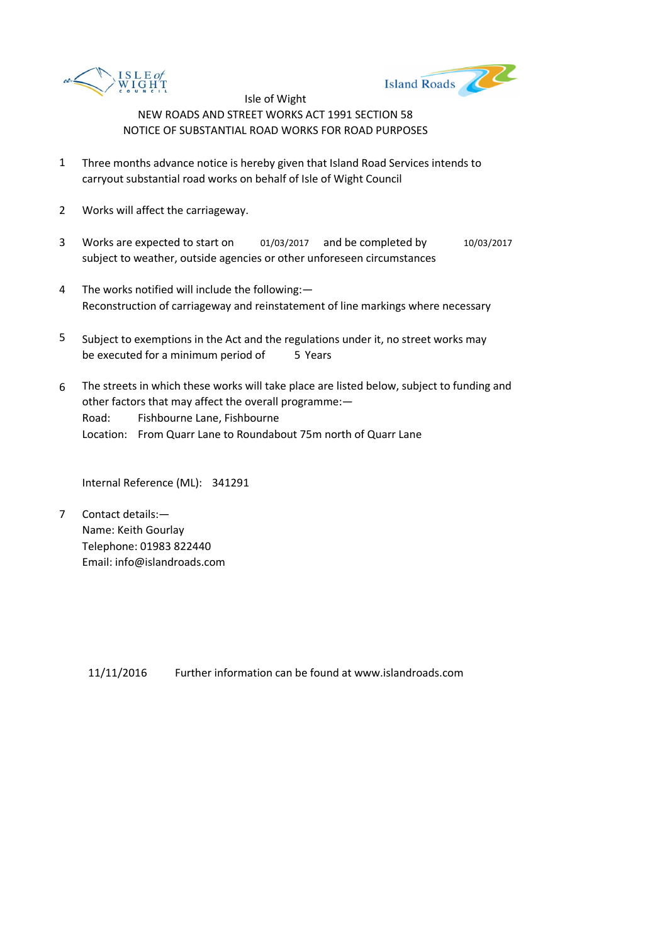



- 1 Three months advance notice is hereby given that Island Road Services intends to carryout substantial road works on behalf of Isle of Wight Council
- 2 Works will affect the carriageway.
- 3 Works are expected to start on 01/03/2017 and be completed by 10/03/2017 subject to weather, outside agencies or other unforeseen circumstances
- 4 The works notified will include the following:— Reconstruction of carriageway and reinstatement of line markings where necessary
- 5 be executed for a minimum period of 5 Years Subject to exemptions in the Act and the regulations under it, no street works may
- 6 Road: Fishbourne Lane, Fishbourne Location: From Quarr Lane to Roundabout 75m north of Quarr Lane The streets in which these works will take place are listed below, subject to funding and other factors that may affect the overall programme:—

Internal Reference (ML): 341291

7 Contact details:— Name: Keith Gourlay Telephone: 01983 822440 Email: info@islandroads.com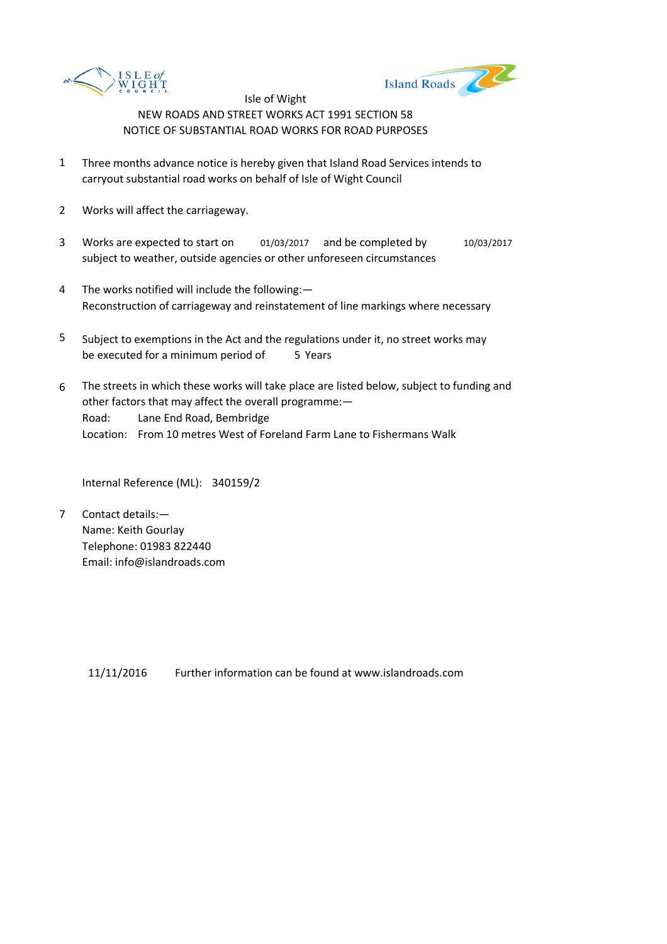



- 1 Three months advance notice is hereby given that Island Road Services intends to carryout substantial road works on behalf of Isle of Wight Council
- 2 Works will affect the carriageway.
- 3 Works are expected to start on 01/03/2017 and be completed by 10/03/2017 subject to weather, outside agencies or other unforeseen circumstances
- 4 The works notified will include the following:— Reconstruction of carriageway and reinstatement of line markings where necessary
- 5 be executed for a minimum period of 5 Years Subject to exemptions in the Act and the regulations under it, no street works may
- 6 Road: Lane End Road, Bembridge Location: From 10 metres West of Foreland Farm Lane to Fishermans Walk The streets in which these works will take place are listed below, subject to funding and other factors that may affect the overall programme:—

Internal Reference (ML): 340159/2

7 Contact details:— Name: Keith Gourlay Telephone: 01983 822440 Email: info@islandroads.com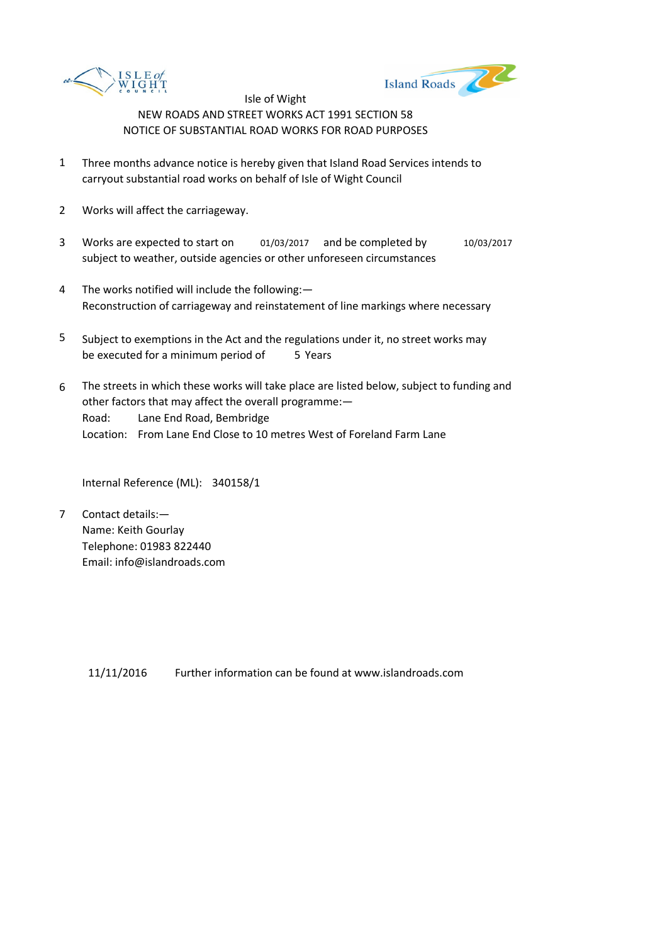



- 1 Three months advance notice is hereby given that Island Road Services intends to carryout substantial road works on behalf of Isle of Wight Council
- 2 Works will affect the carriageway.
- 3 Works are expected to start on 01/03/2017 and be completed by 10/03/2017 subject to weather, outside agencies or other unforeseen circumstances
- 4 The works notified will include the following:— Reconstruction of carriageway and reinstatement of line markings where necessary
- 5 be executed for a minimum period of 5 Years Subject to exemptions in the Act and the regulations under it, no street works may
- 6 Road: Lane End Road, Bembridge Location: From Lane End Close to 10 metres West of Foreland Farm Lane The streets in which these works will take place are listed below, subject to funding and other factors that may affect the overall programme:—

Internal Reference (ML): 340158/1

7 Contact details:— Name: Keith Gourlay Telephone: 01983 822440 Email: info@islandroads.com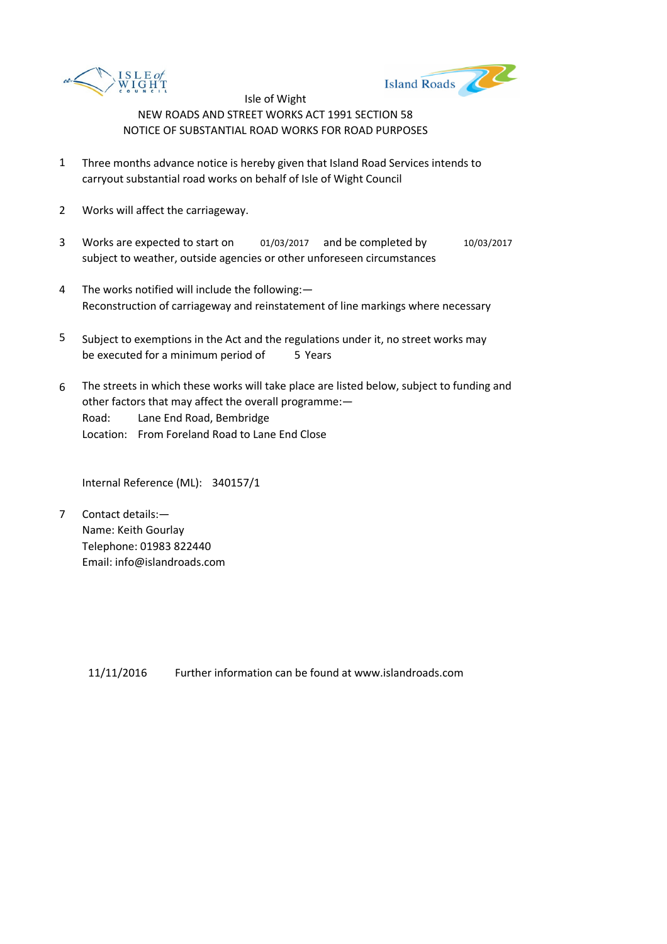



- 1 Three months advance notice is hereby given that Island Road Services intends to carryout substantial road works on behalf of Isle of Wight Council
- 2 Works will affect the carriageway.
- 3 Works are expected to start on 01/03/2017 and be completed by 10/03/2017 subject to weather, outside agencies or other unforeseen circumstances
- 4 The works notified will include the following:— Reconstruction of carriageway and reinstatement of line markings where necessary
- 5 be executed for a minimum period of 5 Years Subject to exemptions in the Act and the regulations under it, no street works may
- 6 Road: Lane End Road, Bembridge Location: From Foreland Road to Lane End Close The streets in which these works will take place are listed below, subject to funding and other factors that may affect the overall programme:—

Internal Reference (ML): 340157/1

7 Contact details:— Name: Keith Gourlay Telephone: 01983 822440 Email: info@islandroads.com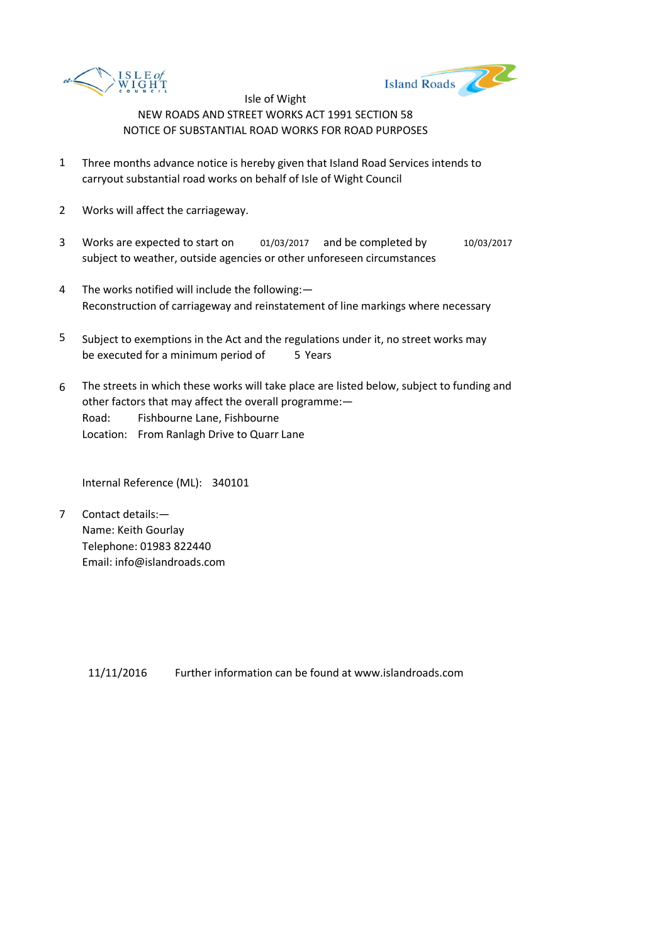



- 1 Three months advance notice is hereby given that Island Road Services intends to carryout substantial road works on behalf of Isle of Wight Council
- 2 Works will affect the carriageway.
- 3 Works are expected to start on 01/03/2017 and be completed by 10/03/2017 subject to weather, outside agencies or other unforeseen circumstances
- 4 The works notified will include the following:— Reconstruction of carriageway and reinstatement of line markings where necessary
- 5 be executed for a minimum period of 5 Years Subject to exemptions in the Act and the regulations under it, no street works may
- 6 Road: Fishbourne Lane, Fishbourne Location: From Ranlagh Drive to Quarr Lane The streets in which these works will take place are listed below, subject to funding and other factors that may affect the overall programme:—

Internal Reference (ML): 340101

7 Contact details:— Name: Keith Gourlay Telephone: 01983 822440 Email: info@islandroads.com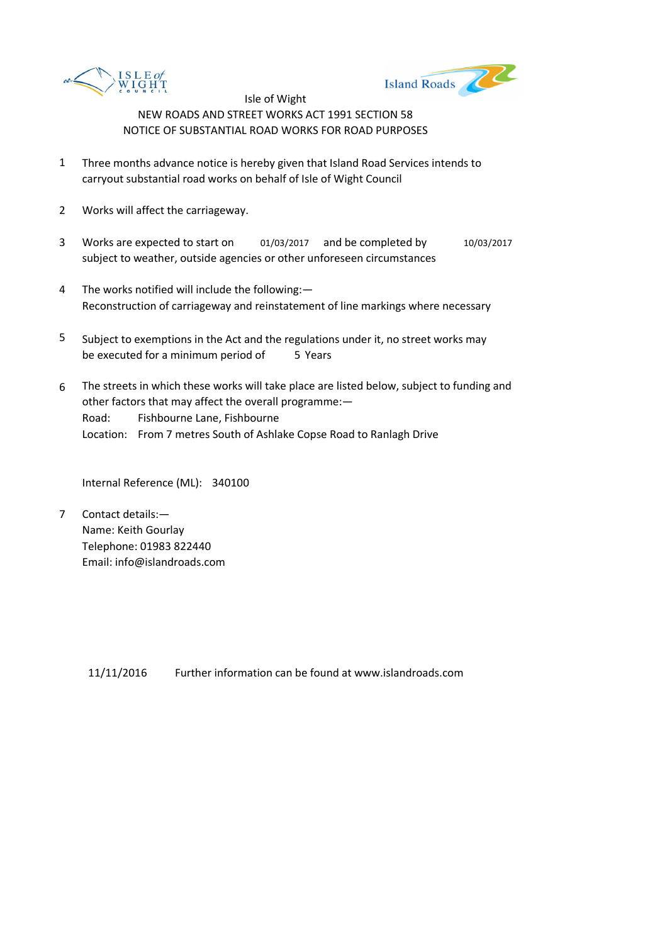



- 1 Three months advance notice is hereby given that Island Road Services intends to carryout substantial road works on behalf of Isle of Wight Council
- 2 Works will affect the carriageway.
- 3 Works are expected to start on 01/03/2017 and be completed by 10/03/2017 subject to weather, outside agencies or other unforeseen circumstances
- 4 The works notified will include the following:— Reconstruction of carriageway and reinstatement of line markings where necessary
- 5 be executed for a minimum period of 5 Years Subject to exemptions in the Act and the regulations under it, no street works may
- 6 Road: Fishbourne Lane, Fishbourne Location: From 7 metres South of Ashlake Copse Road to Ranlagh Drive The streets in which these works will take place are listed below, subject to funding and other factors that may affect the overall programme:—

Internal Reference (ML): 340100

7 Contact details:— Name: Keith Gourlay Telephone: 01983 822440 Email: info@islandroads.com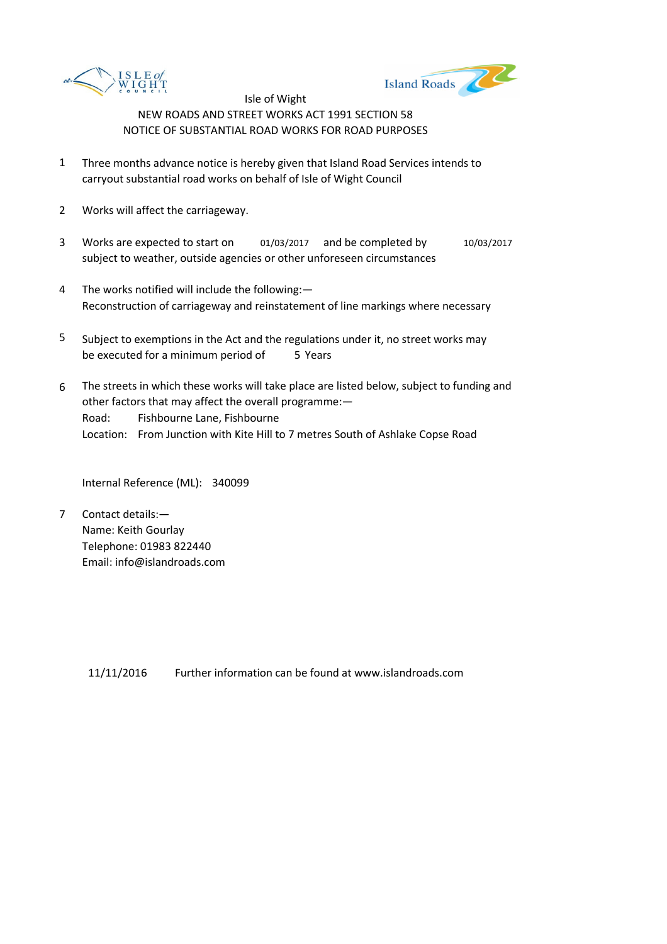



- 1 Three months advance notice is hereby given that Island Road Services intends to carryout substantial road works on behalf of Isle of Wight Council
- 2 Works will affect the carriageway.
- 3 Works are expected to start on 01/03/2017 and be completed by 10/03/2017 subject to weather, outside agencies or other unforeseen circumstances
- 4 The works notified will include the following:— Reconstruction of carriageway and reinstatement of line markings where necessary
- 5 be executed for a minimum period of 5 Years Subject to exemptions in the Act and the regulations under it, no street works may
- 6 Road: Fishbourne Lane, Fishbourne Location: From Junction with Kite Hill to 7 metres South of Ashlake Copse Road The streets in which these works will take place are listed below, subject to funding and other factors that may affect the overall programme:—

Internal Reference (ML): 340099

7 Contact details:— Name: Keith Gourlay Telephone: 01983 822440 Email: info@islandroads.com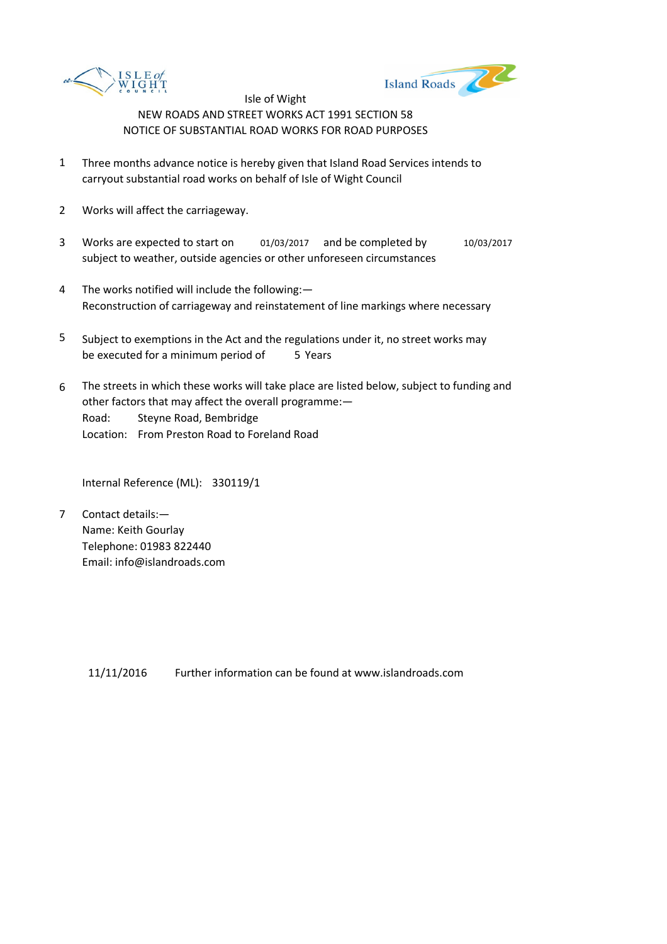



- 1 Three months advance notice is hereby given that Island Road Services intends to carryout substantial road works on behalf of Isle of Wight Council
- 2 Works will affect the carriageway.
- 3 Works are expected to start on 01/03/2017 and be completed by 10/03/2017 subject to weather, outside agencies or other unforeseen circumstances
- 4 The works notified will include the following:— Reconstruction of carriageway and reinstatement of line markings where necessary
- 5 be executed for a minimum period of 5 Years Subject to exemptions in the Act and the regulations under it, no street works may
- 6 Road: Steyne Road, Bembridge Location: From Preston Road to Foreland Road The streets in which these works will take place are listed below, subject to funding and other factors that may affect the overall programme:—

Internal Reference (ML): 330119/1

7 Contact details:— Name: Keith Gourlay Telephone: 01983 822440 Email: info@islandroads.com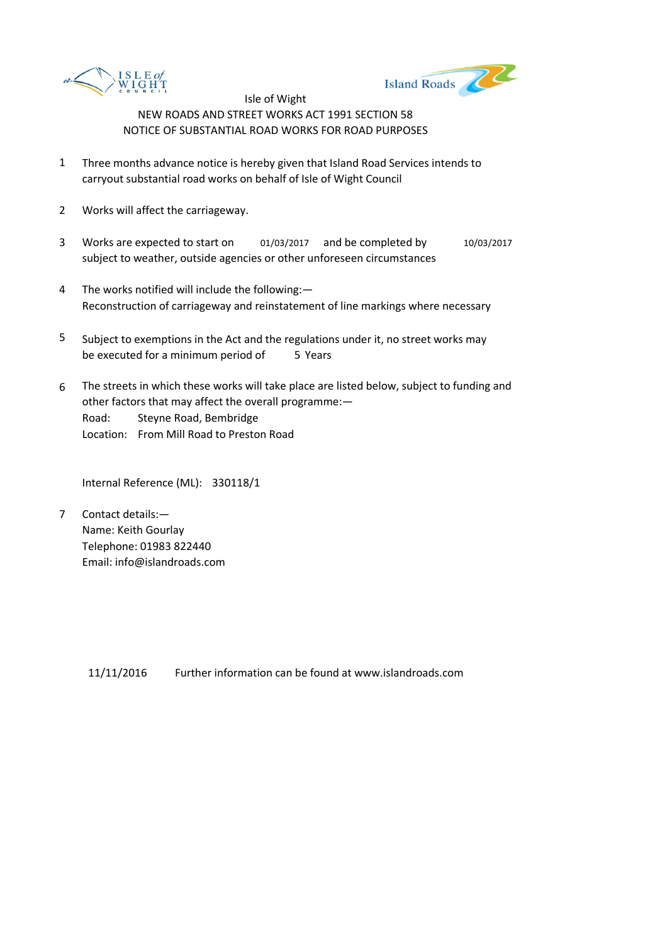



- 1 Three months advance notice is hereby given that Island Road Services intends to carryout substantial road works on behalf of Isle of Wight Council
- 2 Works will affect the carriageway.
- 3 Works are expected to start on 01/03/2017 and be completed by 10/03/2017 subject to weather, outside agencies or other unforeseen circumstances
- 4 The works notified will include the following:— Reconstruction of carriageway and reinstatement of line markings where necessary
- 5 be executed for a minimum period of 5 Years Subject to exemptions in the Act and the regulations under it, no street works may
- 6 Road: Steyne Road, Bembridge Location: From Mill Road to Preston Road The streets in which these works will take place are listed below, subject to funding and other factors that may affect the overall programme:—

Internal Reference (ML): 330118/1

7 Contact details:— Name: Keith Gourlay Telephone: 01983 822440 Email: info@islandroads.com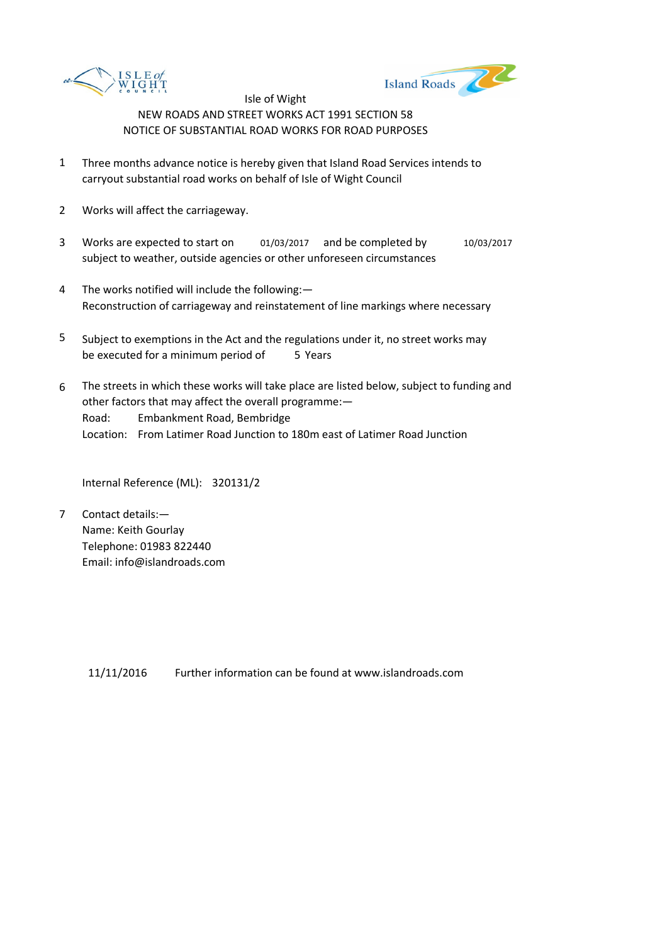



- 1 Three months advance notice is hereby given that Island Road Services intends to carryout substantial road works on behalf of Isle of Wight Council
- 2 Works will affect the carriageway.
- 3 Works are expected to start on 01/03/2017 and be completed by 10/03/2017 subject to weather, outside agencies or other unforeseen circumstances
- 4 The works notified will include the following:— Reconstruction of carriageway and reinstatement of line markings where necessary
- 5 be executed for a minimum period of 5 Years Subject to exemptions in the Act and the regulations under it, no street works may
- 6 Road: Embankment Road, Bembridge Location: From Latimer Road Junction to 180m east of Latimer Road Junction The streets in which these works will take place are listed below, subject to funding and other factors that may affect the overall programme:—

Internal Reference (ML): 320131/2

7 Contact details:— Name: Keith Gourlay Telephone: 01983 822440 Email: info@islandroads.com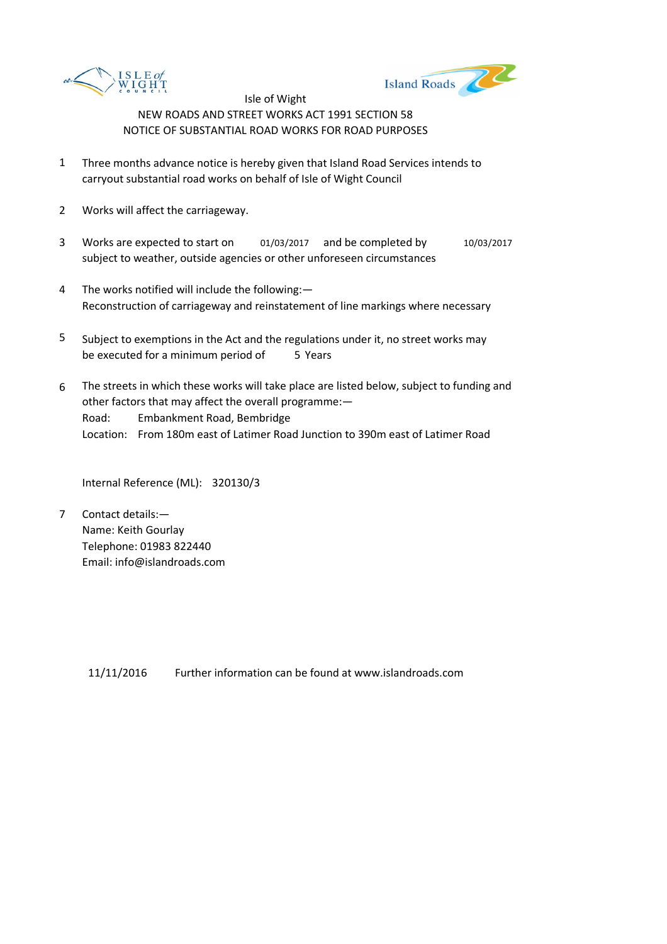



- 1 Three months advance notice is hereby given that Island Road Services intends to carryout substantial road works on behalf of Isle of Wight Council
- 2 Works will affect the carriageway.
- 3 Works are expected to start on 01/03/2017 and be completed by 10/03/2017 subject to weather, outside agencies or other unforeseen circumstances
- 4 The works notified will include the following:— Reconstruction of carriageway and reinstatement of line markings where necessary
- 5 be executed for a minimum period of 5 Years Subject to exemptions in the Act and the regulations under it, no street works may
- 6 Road: Embankment Road, Bembridge Location: From 180m east of Latimer Road Junction to 390m east of Latimer Road The streets in which these works will take place are listed below, subject to funding and other factors that may affect the overall programme:—

Internal Reference (ML): 320130/3

7 Contact details:— Name: Keith Gourlay Telephone: 01983 822440 Email: info@islandroads.com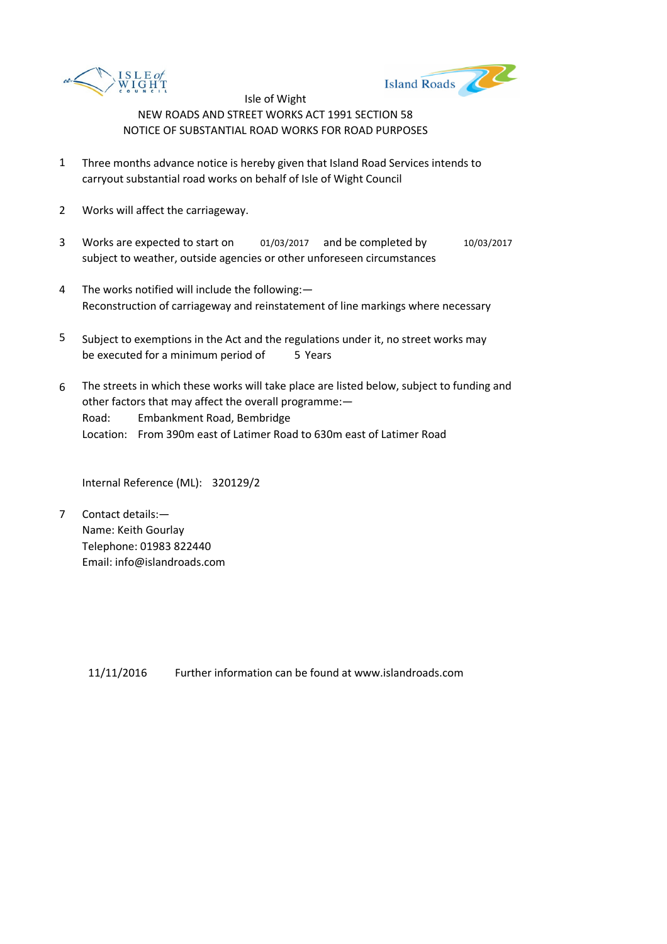



- 1 Three months advance notice is hereby given that Island Road Services intends to carryout substantial road works on behalf of Isle of Wight Council
- 2 Works will affect the carriageway.
- 3 Works are expected to start on 01/03/2017 and be completed by 10/03/2017 subject to weather, outside agencies or other unforeseen circumstances
- 4 The works notified will include the following:— Reconstruction of carriageway and reinstatement of line markings where necessary
- 5 be executed for a minimum period of 5 Years Subject to exemptions in the Act and the regulations under it, no street works may
- 6 Road: Embankment Road, Bembridge Location: From 390m east of Latimer Road to 630m east of Latimer Road The streets in which these works will take place are listed below, subject to funding and other factors that may affect the overall programme:—

Internal Reference (ML): 320129/2

7 Contact details:— Name: Keith Gourlay Telephone: 01983 822440 Email: info@islandroads.com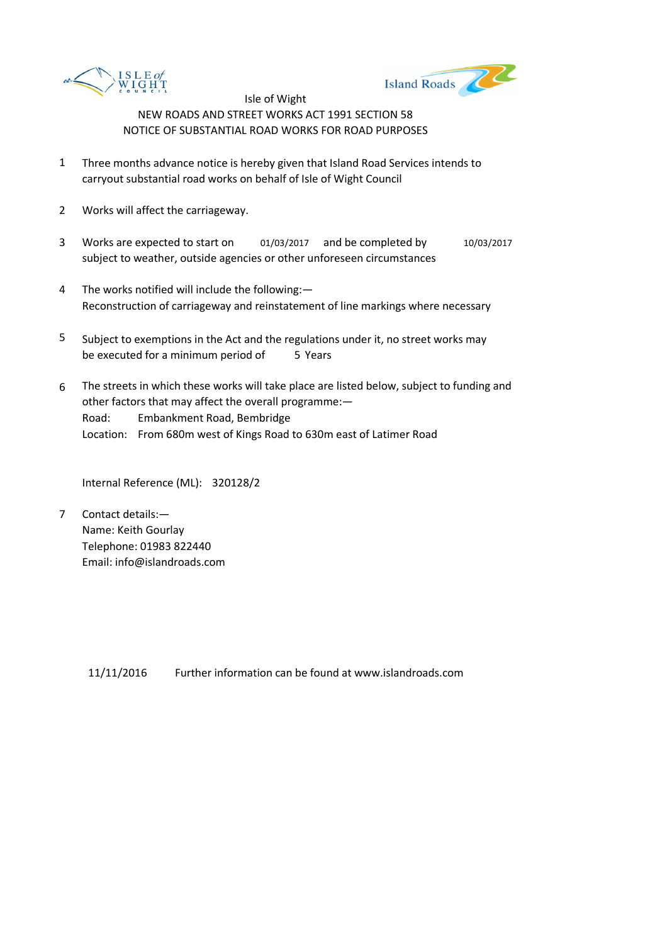



- 1 Three months advance notice is hereby given that Island Road Services intends to carryout substantial road works on behalf of Isle of Wight Council
- 2 Works will affect the carriageway.
- 3 Works are expected to start on 01/03/2017 and be completed by 10/03/2017 subject to weather, outside agencies or other unforeseen circumstances
- 4 The works notified will include the following:— Reconstruction of carriageway and reinstatement of line markings where necessary
- 5 be executed for a minimum period of 5 Years Subject to exemptions in the Act and the regulations under it, no street works may
- 6 Road: Embankment Road, Bembridge Location: From 680m west of Kings Road to 630m east of Latimer Road The streets in which these works will take place are listed below, subject to funding and other factors that may affect the overall programme:—

Internal Reference (ML): 320128/2

7 Contact details:— Name: Keith Gourlay Telephone: 01983 822440 Email: info@islandroads.com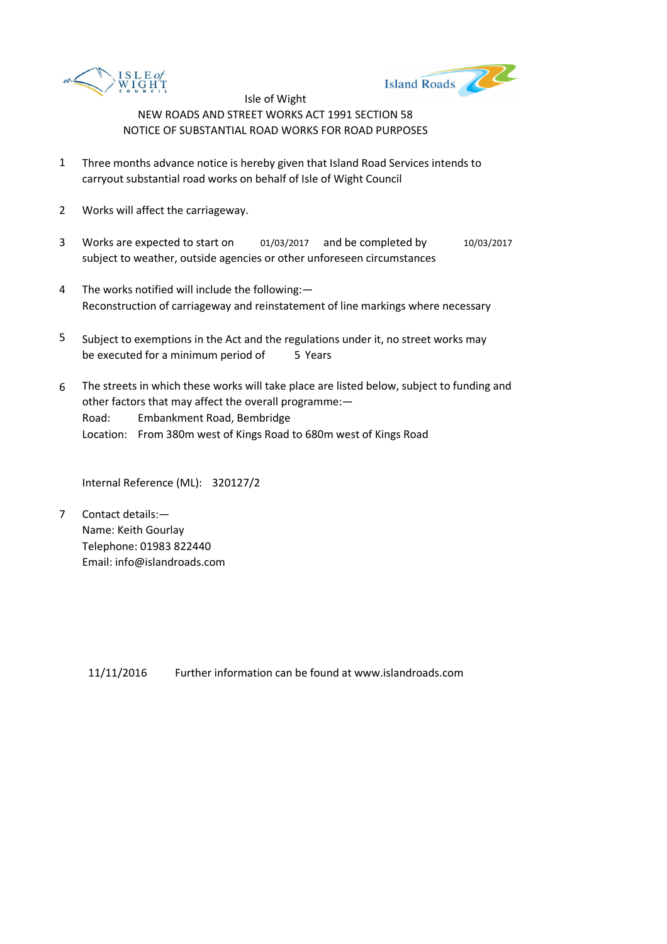



- 1 Three months advance notice is hereby given that Island Road Services intends to carryout substantial road works on behalf of Isle of Wight Council
- 2 Works will affect the carriageway.
- 3 Works are expected to start on 01/03/2017 and be completed by 10/03/2017 subject to weather, outside agencies or other unforeseen circumstances
- 4 The works notified will include the following:— Reconstruction of carriageway and reinstatement of line markings where necessary
- 5 be executed for a minimum period of 5 Years Subject to exemptions in the Act and the regulations under it, no street works may
- 6 Road: Embankment Road, Bembridge Location: From 380m west of Kings Road to 680m west of Kings Road The streets in which these works will take place are listed below, subject to funding and other factors that may affect the overall programme:—

Internal Reference (ML): 320127/2

7 Contact details:— Name: Keith Gourlay Telephone: 01983 822440 Email: info@islandroads.com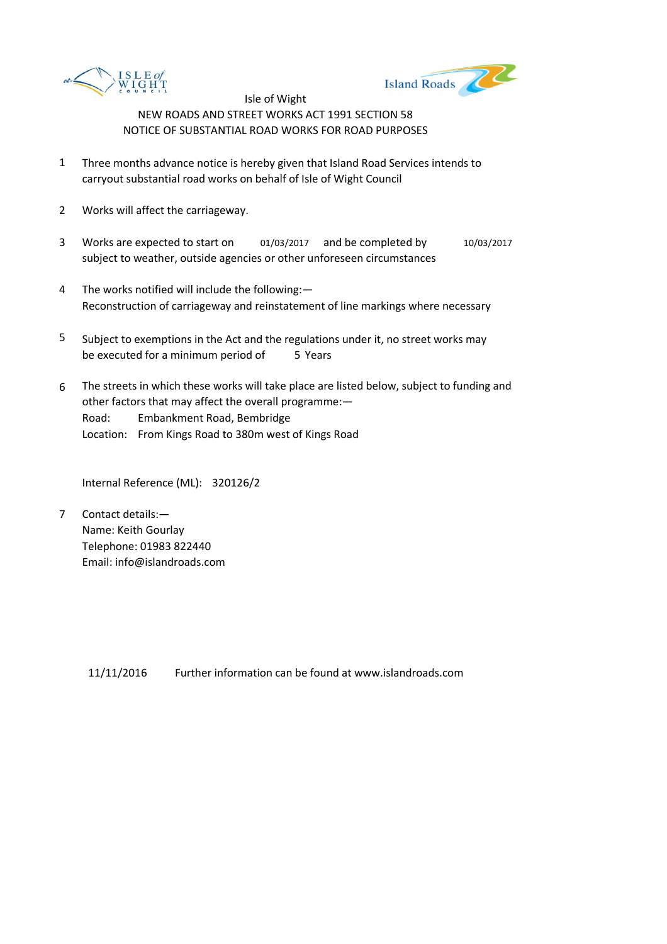



- 1 Three months advance notice is hereby given that Island Road Services intends to carryout substantial road works on behalf of Isle of Wight Council
- 2 Works will affect the carriageway.
- 3 Works are expected to start on 01/03/2017 and be completed by 10/03/2017 subject to weather, outside agencies or other unforeseen circumstances
- 4 The works notified will include the following:— Reconstruction of carriageway and reinstatement of line markings where necessary
- 5 be executed for a minimum period of 5 Years Subject to exemptions in the Act and the regulations under it, no street works may
- 6 Road: Embankment Road, Bembridge Location: From Kings Road to 380m west of Kings Road The streets in which these works will take place are listed below, subject to funding and other factors that may affect the overall programme:—

Internal Reference (ML): 320126/2

7 Contact details:— Name: Keith Gourlay Telephone: 01983 822440 Email: info@islandroads.com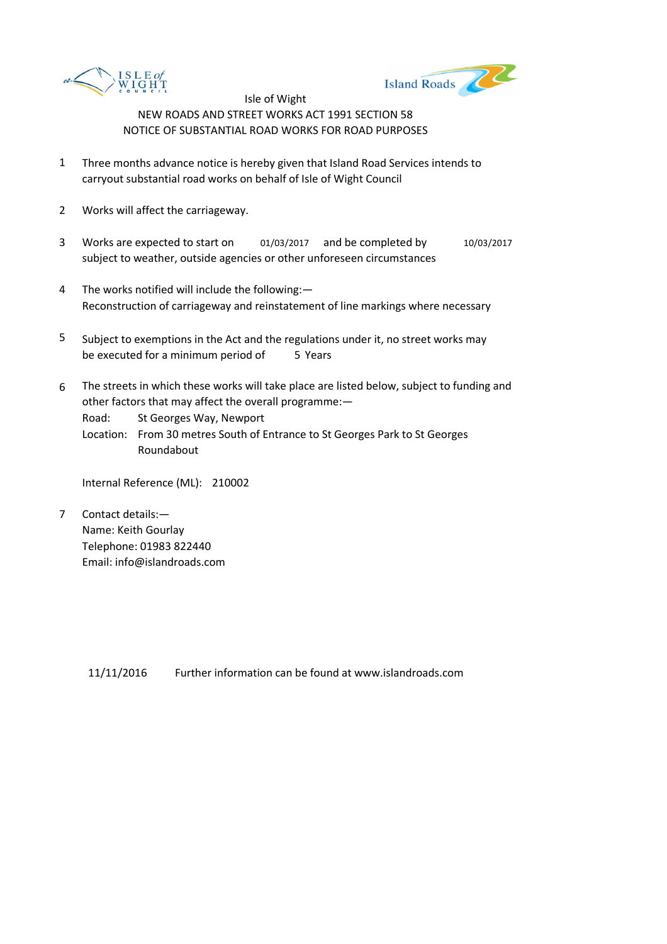



- 1 Three months advance notice is hereby given that Island Road Services intends to carryout substantial road works on behalf of Isle of Wight Council
- 2 Works will affect the carriageway.
- 3 Works are expected to start on 01/03/2017 and be completed by 10/03/2017 subject to weather, outside agencies or other unforeseen circumstances
- 4 The works notified will include the following:— Reconstruction of carriageway and reinstatement of line markings where necessary
- 5 be executed for a minimum period of 5 Years Subject to exemptions in the Act and the regulations under it, no street works may
- 6 The streets in which these works will take place are listed below, subject to funding and other factors that may affect the overall programme:—

Road: St Georges Way, Newport

Location: From 30 metres South of Entrance to St Georges Park to St Georges Roundabout

Internal Reference (ML): 210002

7 Contact details:— Name: Keith Gourlay Telephone: 01983 822440 Email: info@islandroads.com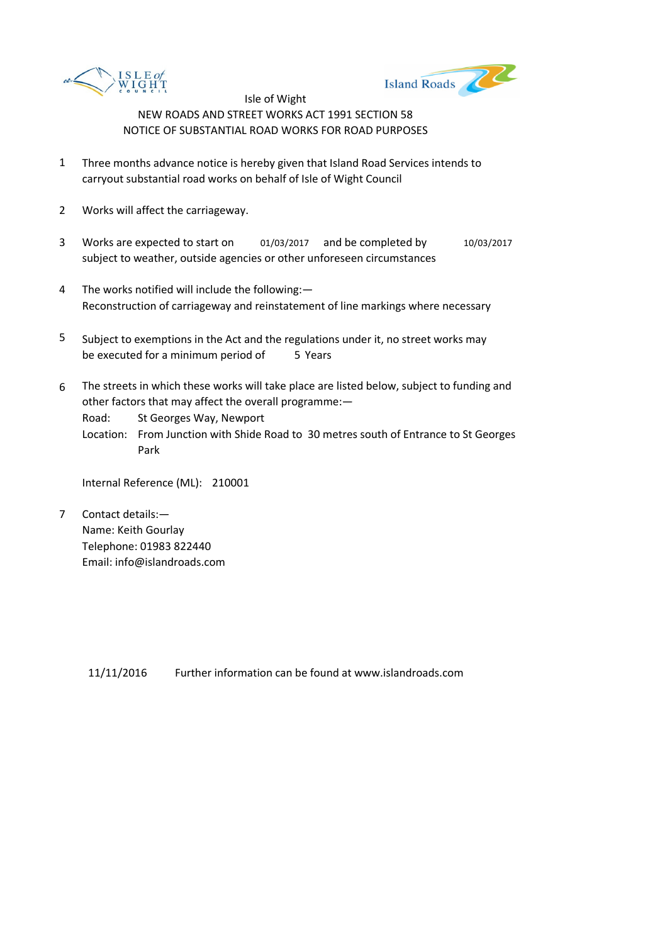



- 1 Three months advance notice is hereby given that Island Road Services intends to carryout substantial road works on behalf of Isle of Wight Council
- 2 Works will affect the carriageway.
- 3 Works are expected to start on 01/03/2017 and be completed by 10/03/2017 subject to weather, outside agencies or other unforeseen circumstances
- 4 The works notified will include the following:— Reconstruction of carriageway and reinstatement of line markings where necessary
- 5 be executed for a minimum period of 5 Years Subject to exemptions in the Act and the regulations under it, no street works may
- 6 The streets in which these works will take place are listed below, subject to funding and other factors that may affect the overall programme:—

Road: St Georges Way, Newport

Location: From Junction with Shide Road to 30 metres south of Entrance to St Georges Park

Internal Reference (ML): 210001

7 Contact details:— Name: Keith Gourlay Telephone: 01983 822440 Email: info@islandroads.com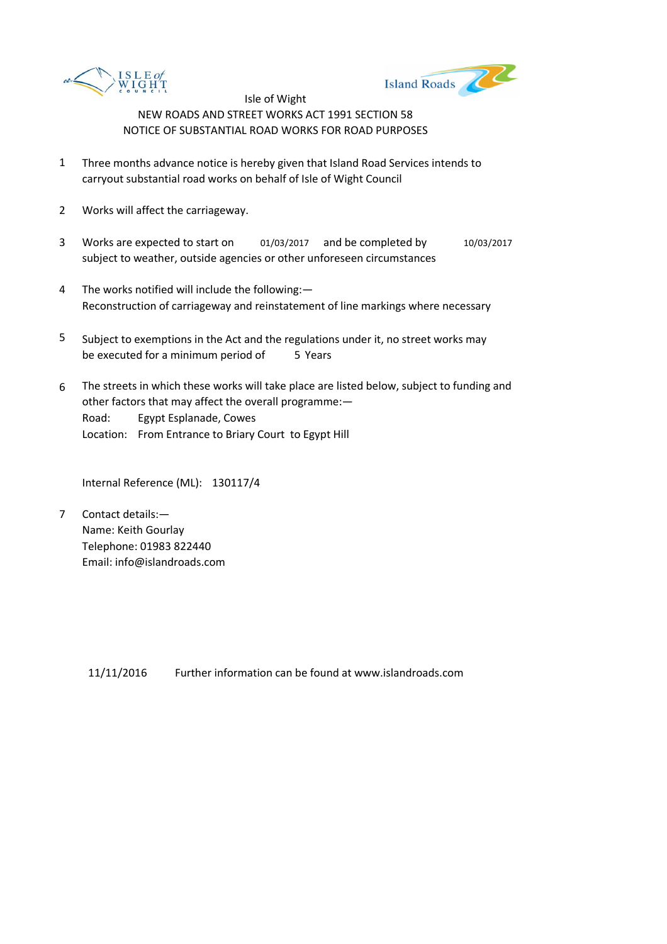



- 1 Three months advance notice is hereby given that Island Road Services intends to carryout substantial road works on behalf of Isle of Wight Council
- 2 Works will affect the carriageway.
- 3 Works are expected to start on 01/03/2017 and be completed by 10/03/2017 subject to weather, outside agencies or other unforeseen circumstances
- 4 The works notified will include the following:— Reconstruction of carriageway and reinstatement of line markings where necessary
- 5 be executed for a minimum period of 5 Years Subject to exemptions in the Act and the regulations under it, no street works may
- 6 Road: Egypt Esplanade, Cowes Location: From Entrance to Briary Court to Egypt Hill The streets in which these works will take place are listed below, subject to funding and other factors that may affect the overall programme:—

Internal Reference (ML): 130117/4

7 Contact details:— Name: Keith Gourlay Telephone: 01983 822440 Email: info@islandroads.com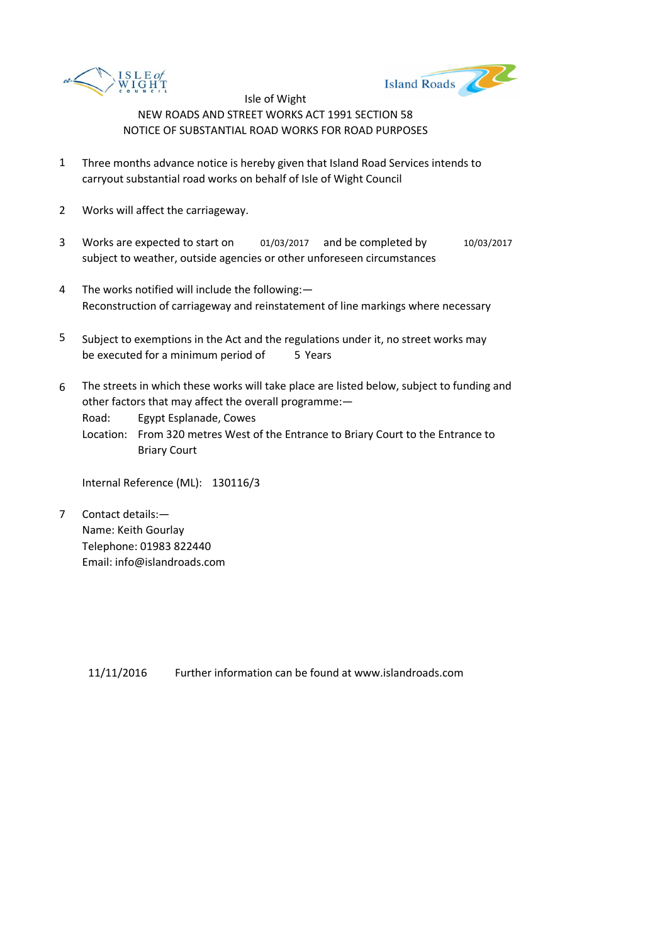



- 1 Three months advance notice is hereby given that Island Road Services intends to carryout substantial road works on behalf of Isle of Wight Council
- 2 Works will affect the carriageway.
- 3 Works are expected to start on 01/03/2017 and be completed by 10/03/2017 subject to weather, outside agencies or other unforeseen circumstances
- 4 The works notified will include the following:— Reconstruction of carriageway and reinstatement of line markings where necessary
- 5 be executed for a minimum period of 5 Years Subject to exemptions in the Act and the regulations under it, no street works may
- 6 The streets in which these works will take place are listed below, subject to funding and other factors that may affect the overall programme:—

Road: Egypt Esplanade, Cowes

Location: From 320 metres West of the Entrance to Briary Court to the Entrance to Briary Court

Internal Reference (ML): 130116/3

7 Contact details:— Name: Keith Gourlay Telephone: 01983 822440 Email: info@islandroads.com